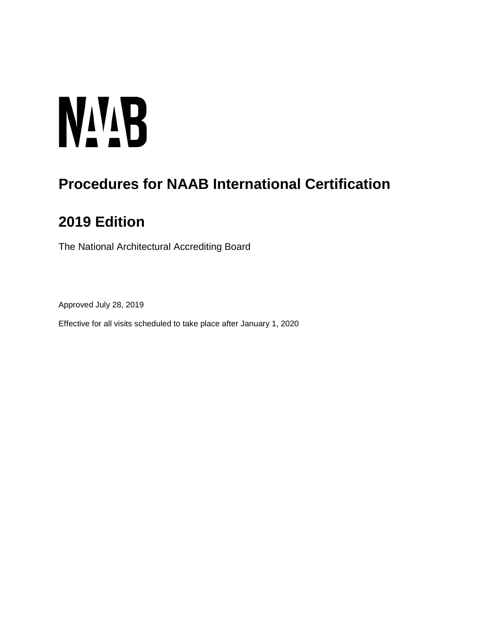# **NALB**

# **Procedures for NAAB International Certification**

# **2019 Edition**

The National Architectural Accrediting Board

Approved July 28, 2019

Effective for all visits scheduled to take place after January 1, 2020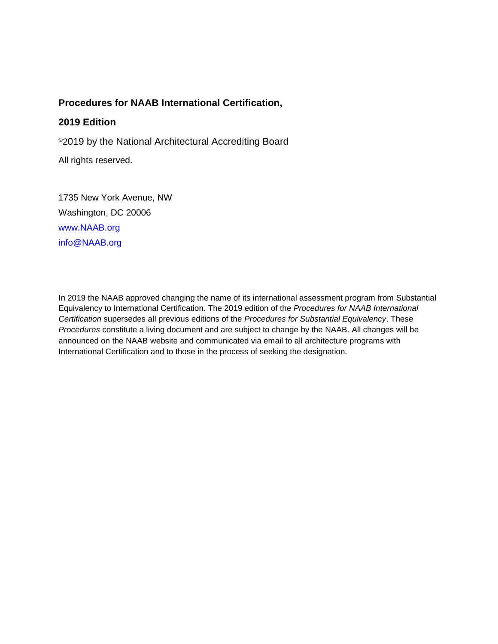# **Procedures for NAAB International Certification,**

# **2019 Edition**

©2019 by the National Architectural Accrediting Board

All rights reserved.

1735 New York Avenue, NW Washington, DC 20006 [www.NAAB.org](http://www.naab.org/) [info@NAAB.org](mailto:info@NAAB.org)

In 2019 the NAAB approved changing the name of its international assessment program from Substantial Equivalency to International Certification. The 2019 edition of the *Procedures for NAAB International Certification* supersedes all previous editions of the *Procedures for Substantial Equivalency*. These *Procedures* constitute a living document and are subject to change by the NAAB. All changes will be announced on the NAAB website and communicated via email to all architecture programs with International Certification and to those in the process of seeking the designation.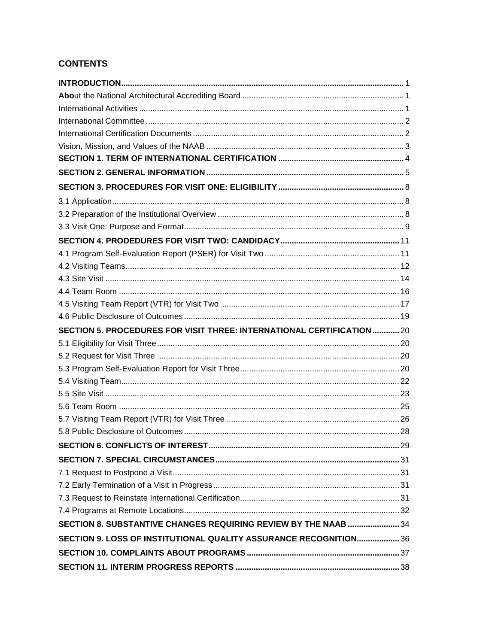# **CONTENTS**

| SECTION 5. PROCEDURES FOR VISIT THREE: INTERNATIONAL CERTIFICATION 20 |  |
|-----------------------------------------------------------------------|--|
|                                                                       |  |
|                                                                       |  |
|                                                                       |  |
|                                                                       |  |
|                                                                       |  |
|                                                                       |  |
|                                                                       |  |
|                                                                       |  |
|                                                                       |  |
|                                                                       |  |
|                                                                       |  |
|                                                                       |  |
|                                                                       |  |
|                                                                       |  |
| SECTION 8. SUBSTANTIVE CHANGES REQUIRING REVIEW BY THE NAAB  34       |  |
| SECTION 9. LOSS OF INSTITUTIONAL QUALITY ASSURANCE RECOGNITION 36     |  |
|                                                                       |  |
|                                                                       |  |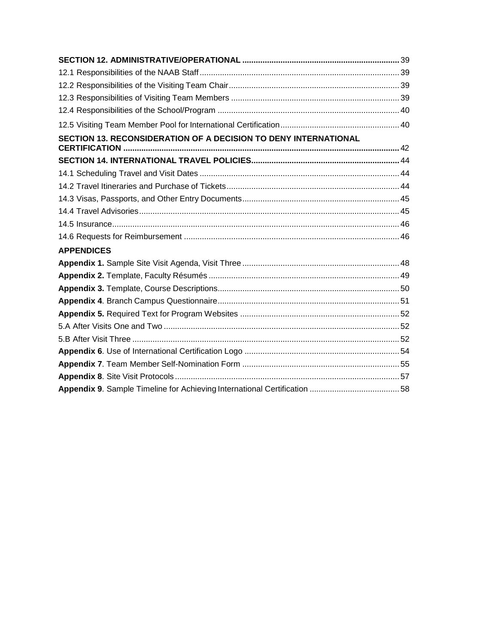| <b>SECTION 13. RECONSIDERATION OF A DECISION TO DENY INTERNATIONAL</b> |  |
|------------------------------------------------------------------------|--|
|                                                                        |  |
|                                                                        |  |
|                                                                        |  |
|                                                                        |  |
|                                                                        |  |
|                                                                        |  |
|                                                                        |  |
|                                                                        |  |
| <b>APPENDICES</b>                                                      |  |
|                                                                        |  |
|                                                                        |  |
|                                                                        |  |
|                                                                        |  |
|                                                                        |  |
|                                                                        |  |
|                                                                        |  |
|                                                                        |  |
|                                                                        |  |
|                                                                        |  |
|                                                                        |  |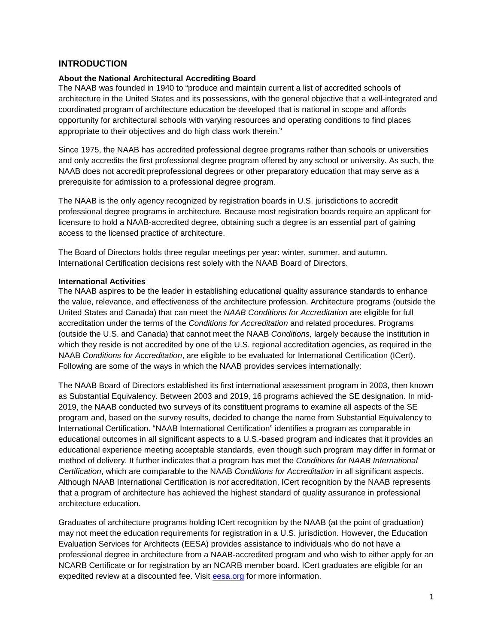#### <span id="page-4-0"></span>**INTRODUCTION**

#### <span id="page-4-1"></span>**About the National Architectural Accrediting Board**

The NAAB was founded in 1940 to "produce and maintain current a list of accredited schools of architecture in the United States and its possessions, with the general objective that a well-integrated and coordinated program of architecture education be developed that is national in scope and affords opportunity for architectural schools with varying resources and operating conditions to find places appropriate to their objectives and do high class work therein."

Since 1975, the NAAB has accredited professional degree programs rather than schools or universities and only accredits the first professional degree program offered by any school or university. As such, the NAAB does not accredit preprofessional degrees or other preparatory education that may serve as a prerequisite for admission to a professional degree program.

The NAAB is the only agency recognized by registration boards in U.S. jurisdictions to accredit professional degree programs in architecture. Because most registration boards require an applicant for licensure to hold a NAAB-accredited degree, obtaining such a degree is an essential part of gaining access to the licensed practice of architecture.

The Board of Directors holds three regular meetings per year: winter, summer, and autumn. International Certification decisions rest solely with the NAAB Board of Directors.

#### <span id="page-4-2"></span>**International Activities**

The NAAB aspires to be the leader in establishing educational quality assurance standards to enhance the value, relevance, and effectiveness of the architecture profession. Architecture programs (outside the United States and Canada) that can meet the *NAAB Conditions for Accreditation* are eligible for full accreditation under the terms of the *Conditions for Accreditation* and related procedures. Programs (outside the U.S. and Canada) that cannot meet the NAAB *Conditions,* largely because the institution in which they reside is not accredited by one of the U.S. regional accreditation agencies, as required in the NAAB *Conditions for Accreditation*, are eligible to be evaluated for International Certification (ICert). Following are some of the ways in which the NAAB provides services internationally:

The NAAB Board of Directors established its first international assessment program in 2003, then known as Substantial Equivalency. Between 2003 and 2019, 16 programs achieved the SE designation. In mid-2019, the NAAB conducted two surveys of its constituent programs to examine all aspects of the SE program and, based on the survey results, decided to change the name from Substantial Equivalency to International Certification. "NAAB International Certification" identifies a program as comparable in educational outcomes in all significant aspects to a U.S.-based program and indicates that it provides an educational experience meeting acceptable standards, even though such program may differ in format or method of delivery. It further indicates that a program has met the *Conditions for NAAB International Certification*, which are comparable to the NAAB *Conditions for Accreditation* in all significant aspects. Although NAAB International Certification is *not* accreditation, ICert recognition by the NAAB represents that a program of architecture has achieved the highest standard of quality assurance in professional architecture education.

Graduates of architecture programs holding ICert recognition by the NAAB (at the point of graduation) may not meet the education requirements for registration in a U.S. jurisdiction. However, the Education Evaluation Services for Architects (EESA) provides assistance to individuals who do not have a professional degree in architecture from a NAAB-accredited program and who wish to either apply for an NCARB Certificate or for registration by an NCARB member board. ICert graduates are eligible for an expedited review at a discounted fee. Visit **eesa.org** for more information.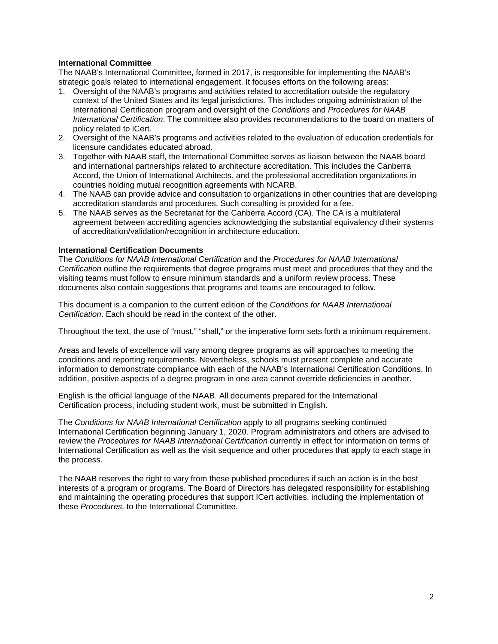#### <span id="page-5-0"></span>**International Committee**

The NAAB's International Committee, formed in 2017, is responsible for implementing the NAAB's strategic goals related to international engagement. It focuses efforts on the following areas:

- 1. Oversight of the NAAB's programs and activities related to accreditation outside the regulatory context of the United States and its legal jurisdictions. This includes ongoing administration of the International Certification program and oversight of the *Conditions* and *Procedures for NAAB International Certification*. The committee also provides recommendations to the board on matters of policy related to ICert.
- 2. Oversight of the NAAB's programs and activities related to the evaluation of education credentials for licensure candidates educated abroad.
- 3. Together with NAAB staff, the International Committee serves as liaison between the NAAB board and international partnerships related to architecture accreditation. This includes the Canberra Accord, the Union of International Architects, and the professional accreditation organizations in countries holding mutual recognition agreements with NCARB.
- 4. The NAAB can provide advice and consultation to organizations in other countries that are developing accreditation standards and procedures. Such consulting is provided for a fee.
- 5. The NAAB serves as the Secretariat for the Canberra Accord (CA). The CA is a multilateral agreement between accrediting agencies acknowledging the substantial equivalency of their systems of accreditation/validation/recognition in architecture education.

#### <span id="page-5-1"></span>**International Certification Documents**

The *Conditions for NAAB International Certification* and the *Procedures for NAAB International Certification* outline the requirements that degree programs must meet and procedures that they and the visiting teams must follow to ensure minimum standards and a uniform review process. These documents also contain suggestions that programs and teams are encouraged to follow.

This document is a companion to the current edition of the *Conditions for NAAB International Certification*. Each should be read in the context of the other.

Throughout the text, the use of "must," "shall," or the imperative form sets forth a minimum requirement.

Areas and levels of excellence will vary among degree programs as will approaches to meeting the conditions and reporting requirements. Nevertheless, schools must present complete and accurate information to demonstrate compliance with each of the NAAB's International Certification Conditions. In addition, positive aspects of a degree program in one area cannot override deficiencies in another.

English is the official language of the NAAB. All documents prepared for the International Certification process, including student work, must be submitted in English.

The *Conditions for NAAB International Certification* apply to all programs seeking continued International Certification beginning January 1, 2020. Program administrators and others are advised to review the *Procedures for NAAB International Certification* currently in effect for information on terms of International Certification as well as the visit sequence and other procedures that apply to each stage in the process.

The NAAB reserves the right to vary from these published procedures if such an action is in the best interests of a program or programs. The Board of Directors has delegated responsibility for establishing and maintaining the operating procedures that support ICert activities, including the implementation of these *Procedures,* to the International Committee.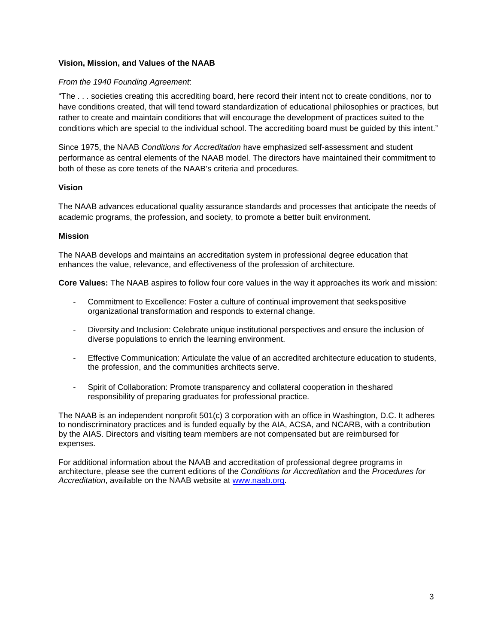#### <span id="page-6-0"></span>**Vision, Mission, and Values of the NAAB**

#### *From the 1940 Founding Agreement*:

"The . . . societies creating this accrediting board, here record their intent not to create conditions, nor to have conditions created, that will tend toward standardization of educational philosophies or practices, but rather to create and maintain conditions that will encourage the development of practices suited to the conditions which are special to the individual school. The accrediting board must be guided by this intent."

Since 1975, the NAAB *Conditions for Accreditation* have emphasized self-assessment and student performance as central elements of the NAAB model. The directors have maintained their commitment to both of these as core tenets of the NAAB's criteria and procedures.

#### **Vision**

The NAAB advances educational quality assurance standards and processes that anticipate the needs of academic programs, the profession, and society, to promote a better built environment.

#### **Mission**

The NAAB develops and maintains an accreditation system in professional degree education that enhances the value, relevance, and effectiveness of the profession of architecture.

**Core Values:** The NAAB aspires to follow four core values in the way it approaches its work and mission:

- Commitment to Excellence: Foster a culture of continual improvement that seekspositive organizational transformation and responds to external change.
- Diversity and Inclusion: Celebrate unique institutional perspectives and ensure the inclusion of diverse populations to enrich the learning environment.
- Effective Communication: Articulate the value of an accredited architecture education to students, the profession, and the communities architects serve.
- Spirit of Collaboration: Promote transparency and collateral cooperation in theshared responsibility of preparing graduates for professional practice.

The NAAB is an independent nonprofit 501(c) 3 corporation with an office in Washington, D.C. It adheres to nondiscriminatory practices and is funded equally by the AIA, ACSA, and NCARB, with a contribution by the AIAS. Directors and visiting team members are not compensated but are reimbursed for expenses.

For additional information about the NAAB and accreditation of professional degree programs in architecture, please see the current editions of the *Conditions for Accreditation* and the *Procedures for Accreditation*, available on the NAAB website at [www.naab.org.](http://www.naab.org/)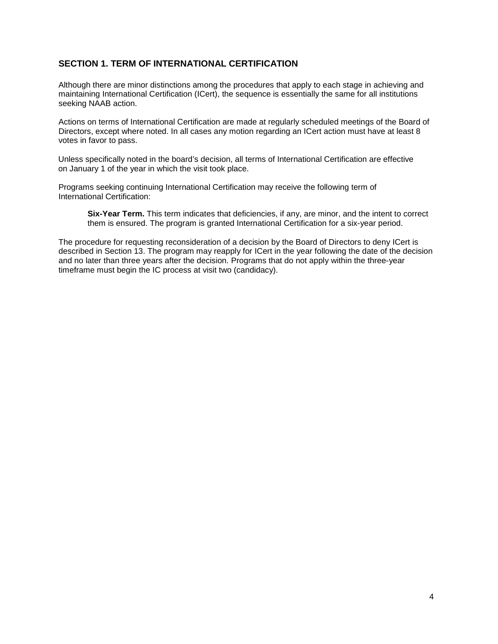# <span id="page-7-0"></span>**SECTION 1. TERM OF INTERNATIONAL CERTIFICATION**

Although there are minor distinctions among the procedures that apply to each stage in achieving and maintaining International Certification (ICert), the sequence is essentially the same for all institutions seeking NAAB action.

Actions on terms of International Certification are made at regularly scheduled meetings of the Board of Directors, except where noted. In all cases any motion regarding an ICert action must have at least 8 votes in favor to pass.

Unless specifically noted in the board's decision, all terms of International Certification are effective on January 1 of the year in which the visit took place.

Programs seeking continuing International Certification may receive the following term of International Certification:

**Six-Year Term.** This term indicates that deficiencies, if any, are minor, and the intent to correct them is ensured. The program is granted International Certification for a six-year period.

The procedure for requesting reconsideration of a decision by the Board of Directors to deny ICert is described in Section 13. The program may reapply for ICert in the year following the date of the decision and no later than three years after the decision. Programs that do not apply within the three-year timeframe must begin the IC process at visit two (candidacy).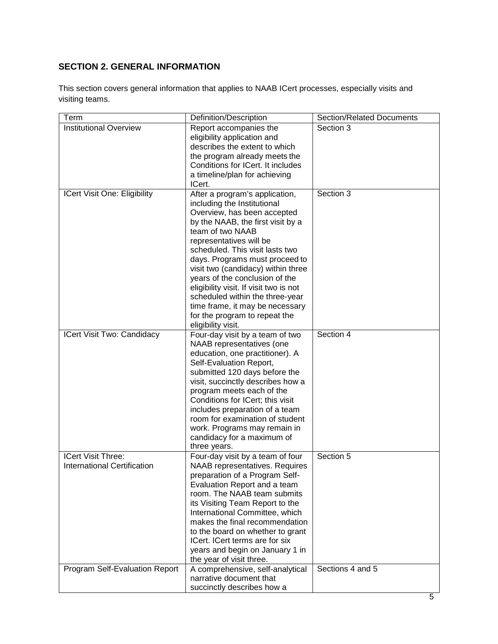# <span id="page-8-0"></span>**SECTION 2. GENERAL INFORMATION**

This section covers general information that applies to NAAB ICert processes, especially visits and visiting teams.

| Term                                                     | Definition/Description                                                                                                                                                                                                                                                                                                                                                                                                                                                                               | <b>Section/Related Documents</b> |
|----------------------------------------------------------|------------------------------------------------------------------------------------------------------------------------------------------------------------------------------------------------------------------------------------------------------------------------------------------------------------------------------------------------------------------------------------------------------------------------------------------------------------------------------------------------------|----------------------------------|
| <b>Institutional Overview</b>                            | Report accompanies the<br>eligibility application and<br>describes the extent to which<br>the program already meets the<br>Conditions for ICert. It includes<br>a timeline/plan for achieving<br>ICert.                                                                                                                                                                                                                                                                                              | Section 3                        |
| ICert Visit One: Eligibility                             | After a program's application,<br>including the Institutional<br>Overview, has been accepted<br>by the NAAB, the first visit by a<br>team of two NAAB<br>representatives will be<br>scheduled. This visit lasts two<br>days. Programs must proceed to<br>visit two (candidacy) within three<br>years of the conclusion of the<br>eligibility visit. If visit two is not<br>scheduled within the three-year<br>time frame, it may be necessary<br>for the program to repeat the<br>eligibility visit. | Section 3                        |
| ICert Visit Two: Candidacy                               | Four-day visit by a team of two<br>NAAB representatives (one<br>education, one practitioner). A<br>Self-Evaluation Report,<br>submitted 120 days before the<br>visit, succinctly describes how a<br>program meets each of the<br>Conditions for ICert; this visit<br>includes preparation of a team<br>room for examination of student<br>work. Programs may remain in<br>candidacy for a maximum of<br>three years.                                                                                 | Section 4                        |
| <b>ICert Visit Three:</b><br>International Certification | Four-day visit by a team of four<br>NAAB representatives. Requires<br>preparation of a Program Self-<br>Evaluation Report and a team<br>room. The NAAB team submits<br>its Visiting Team Report to the<br>International Committee, which<br>makes the final recommendation<br>to the board on whether to grant<br>ICert. ICert terms are for six<br>years and begin on January 1 in<br>the year of visit three.                                                                                      | Section 5                        |
| Program Self-Evaluation Report                           | A comprehensive, self-analytical<br>narrative document that<br>succinctly describes how a                                                                                                                                                                                                                                                                                                                                                                                                            | Sections 4 and 5                 |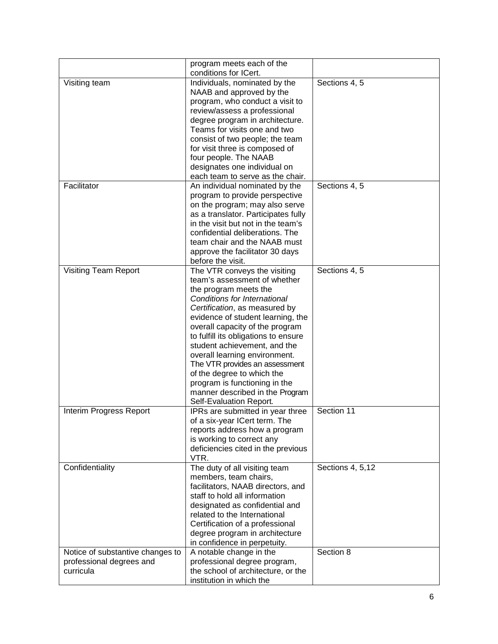|                                                     | program meets each of the<br>conditions for ICert.                                                                                                                                                                                                                                                                                                                                                                                                                                                     |                               |
|-----------------------------------------------------|--------------------------------------------------------------------------------------------------------------------------------------------------------------------------------------------------------------------------------------------------------------------------------------------------------------------------------------------------------------------------------------------------------------------------------------------------------------------------------------------------------|-------------------------------|
| Visiting team                                       | Individuals, nominated by the<br>NAAB and approved by the<br>program, who conduct a visit to<br>review/assess a professional<br>degree program in architecture.<br>Teams for visits one and two<br>consist of two people; the team<br>for visit three is composed of<br>four people. The NAAB<br>designates one individual on<br>each team to serve as the chair.                                                                                                                                      | Sections 4, 5                 |
| Facilitator                                         | An individual nominated by the<br>program to provide perspective<br>on the program; may also serve<br>as a translator. Participates fully<br>in the visit but not in the team's<br>confidential deliberations. The<br>team chair and the NAAB must<br>approve the facilitator 30 days<br>before the visit.                                                                                                                                                                                             | Sections 4, 5                 |
| <b>Visiting Team Report</b>                         | The VTR conveys the visiting<br>team's assessment of whether<br>the program meets the<br>Conditions for International<br>Certification, as measured by<br>evidence of student learning, the<br>overall capacity of the program<br>to fulfill its obligations to ensure<br>student achievement, and the<br>overall learning environment.<br>The VTR provides an assessment<br>of the degree to which the<br>program is functioning in the<br>manner described in the Program<br>Self-Evaluation Report. | Sections 4, 5                 |
| Interim Progress Report                             | IPRs are submitted in year three<br>of a six-year ICert term. The<br>reports address how a program<br>is working to correct any<br>deficiencies cited in the previous<br>VTR.                                                                                                                                                                                                                                                                                                                          | Section 11                    |
| Confidentiality<br>Notice of substantive changes to | The duty of all visiting team<br>members, team chairs,<br>facilitators, NAAB directors, and<br>staff to hold all information<br>designated as confidential and<br>related to the International<br>Certification of a professional<br>degree program in architecture<br>in confidence in perpetuity.<br>A notable change in the                                                                                                                                                                         | Sections 4, 5,12<br>Section 8 |
| professional degrees and<br>curricula               | professional degree program,<br>the school of architecture, or the<br>institution in which the                                                                                                                                                                                                                                                                                                                                                                                                         |                               |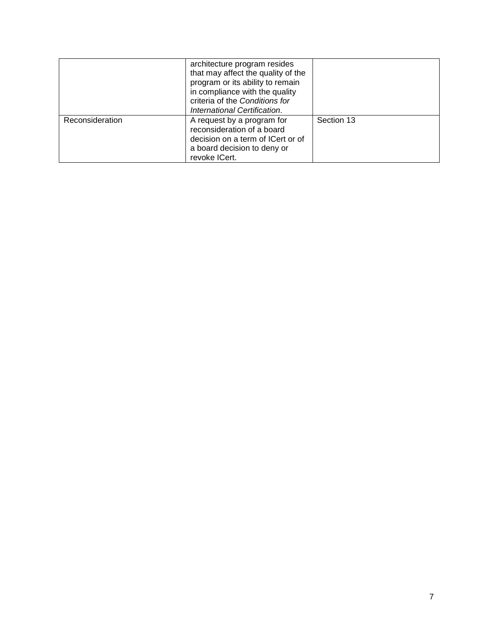|                 | architecture program resides<br>that may affect the quality of the<br>program or its ability to remain<br>in compliance with the quality<br>criteria of the Conditions for<br>International Certification. |            |
|-----------------|------------------------------------------------------------------------------------------------------------------------------------------------------------------------------------------------------------|------------|
| Reconsideration | A request by a program for<br>reconsideration of a board<br>decision on a term of ICert or of<br>a board decision to deny or<br>revoke ICert.                                                              | Section 13 |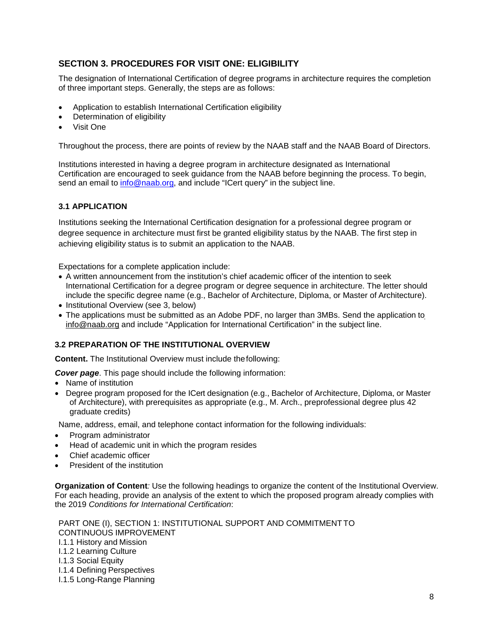# <span id="page-11-0"></span>**SECTION 3. PROCEDURES FOR VISIT ONE: ELIGIBILITY**

The designation of International Certification of degree programs in architecture requires the completion of three important steps. Generally, the steps are as follows:

- Application to establish International Certification eligibility
- Determination of eligibility
- Visit One

Throughout the process, there are points of review by the NAAB staff and the NAAB Board of Directors.

Institutions interested in having a degree program in architecture designated as International Certification are encouraged to seek guidance from the NAAB before beginning the process. To begin, send an email to [info@naab.org, a](mailto:info@naab.org)nd include "ICert query" in the subject line.

#### <span id="page-11-1"></span>**3.1 APPLICATION**

Institutions seeking the International Certification designation for a professional degree program or degree sequence in architecture must first be granted eligibility status by the NAAB. The first step in achieving eligibility status is to submit an application to the NAAB.

Expectations for a complete application include:

- A written announcement from the institution's chief academic officer of the intention to seek International Certification for a degree program or degree sequence in architecture. The letter should include the specific degree name (e.g., Bachelor of Architecture, Diploma, or Master of Architecture).
- Institutional Overview (see 3, below)
- The applications must be submitted as an Adobe PDF, no larger than 3MBs. Send the application t[o](mailto:info@naab.org) [info@naab.org](mailto:info@naab.org) and include "Application for International Certification" in the subject line.

#### **3.2 PREPARATION OF THE INSTITUTIONAL OVERVIEW**

**Content.** The Institutional Overview must include thefollowing:

*Cover page*. This page should include the following information:

- Name of institution
- Degree program proposed for the ICert designation (e.g., Bachelor of Architecture, Diploma, or Master of Architecture), with prerequisites as appropriate (e.g., M. Arch., preprofessional degree plus 42 graduate credits)

Name, address, email, and telephone contact information for the following individuals:

- Program administrator
- Head of academic unit in which the program resides
- Chief academic officer
- President of the institution

**Organization of Content***:* Use the following headings to organize the content of the Institutional Overview. For each heading, provide an analysis of the extent to which the proposed program already complies with the 2019 *Conditions for International Certification*:

PART ONE (I), SECTION 1: INSTITUTIONAL SUPPORT AND COMMITMENT TO CONTINUOUS IMPROVEMENT I.1.1 History and Mission I.1.2 Learning Culture I.1.3 Social Equity I.1.4 Defining Perspectives I.1.5 Long-Range Planning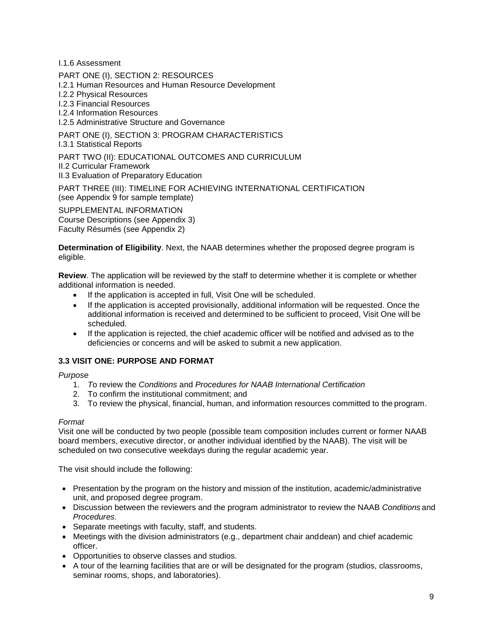I.1.6 Assessment

PART ONE (I), SECTION 2: RESOURCES

I.2.1 Human Resources and Human Resource Development

I.2.2 Physical Resources

I.2.3 Financial Resources

I.2.4 Information Resources

I.2.5 Administrative Structure and Governance

# PART ONE (I), SECTION 3: PROGRAM CHARACTERISTICS

I.3.1 Statistical Reports

#### PART TWO (II): EDUCATIONAL OUTCOMES AND CURRICULUM

II.2 Curricular Framework

II.3 Evaluation of Preparatory Education

PART THREE (III): TIMELINE FOR ACHIEVING INTERNATIONAL CERTIFICATION

(see Appendix 9 for sample template)

SUPPLEMENTAL INFORMATION Course Descriptions (see Appendix 3) Faculty Résumés (see Appendix 2)

**Determination of Eligibility**. Next, the NAAB determines whether the proposed degree program is eligible.

**Review**. The application will be reviewed by the staff to determine whether it is complete or whether additional information is needed.

- If the application is accepted in full, Visit One will be scheduled.
- If the application is accepted provisionally, additional information will be requested. Once the additional information is received and determined to be sufficient to proceed, Visit One will be scheduled.
- If the application is rejected, the chief academic officer will be notified and advised as to the deficiencies or concerns and will be asked to submit a new application.

#### <span id="page-12-0"></span>**3.3 VISIT ONE: PURPOSE AND FORMAT**

*Purpose*

- 1. *T*o review the *Conditions* and *Procedures for NAAB International Certification*
- 2. To confirm the institutional commitment; and
- 3. To review the physical, financial, human, and information resources committed to the program.

#### *Format*

Visit one will be conducted by two people (possible team composition includes current or former NAAB board members, executive director, or another individual identified by the NAAB). The visit will be scheduled on two consecutive weekdays during the regular academic year.

The visit should include the following:

- Presentation by the program on the history and mission of the institution, academic/administrative unit, and proposed degree program.
- Discussion between the reviewers and the program administrator to review the NAAB *Conditions* and *Procedures.*
- Separate meetings with faculty, staff, and students.
- Meetings with the division administrators (e.g., department chair anddean) and chief academic officer.
- Opportunities to observe classes and studios.
- A tour of the learning facilities that are or will be designated for the program (studios, classrooms, seminar rooms, shops, and laboratories).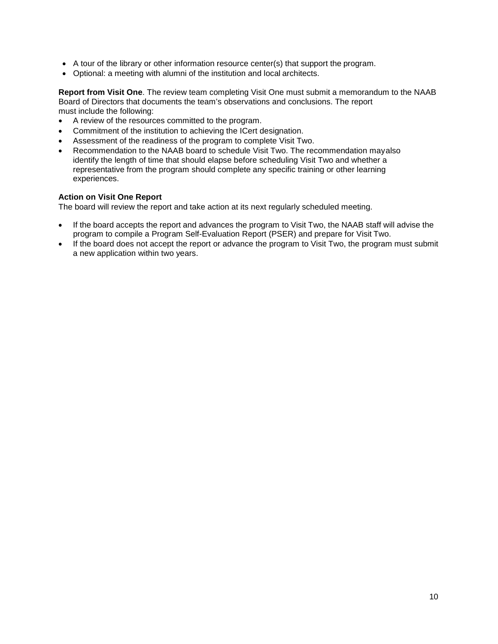- A tour of the library or other information resource center(s) that support the program.
- Optional: a meeting with alumni of the institution and local architects.

**Report from Visit One**. The review team completing Visit One must submit a memorandum to the NAAB Board of Directors that documents the team's observations and conclusions. The report must include the following:

- A review of the resources committed to the program.
- Commitment of the institution to achieving the ICert designation.
- Assessment of the readiness of the program to complete Visit Two.
- Recommendation to the NAAB board to schedule Visit Two. The recommendation mayalso identify the length of time that should elapse before scheduling Visit Two and whether a representative from the program should complete any specific training or other learning experiences.

#### **Action on Visit One Report**

The board will review the report and take action at its next regularly scheduled meeting.

- If the board accepts the report and advances the program to Visit Two, the NAAB staff will advise the program to compile a Program Self-Evaluation Report (PSER) and prepare for Visit Two.
- If the board does not accept the report or advance the program to Visit Two, the program must submit a new application within two years.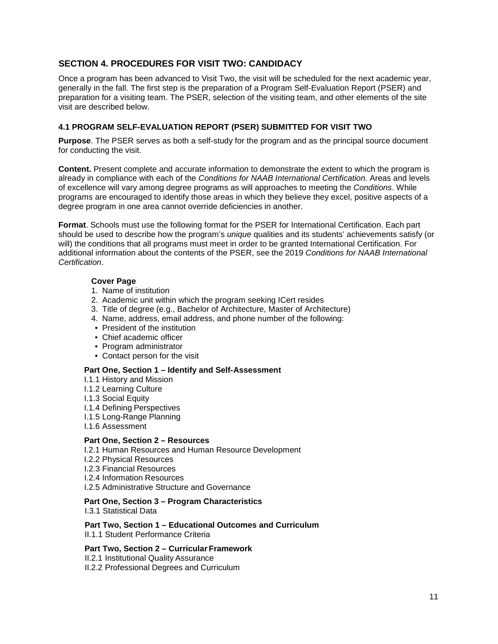# **SECTION 4. PROCEDURES FOR VISIT TWO: CANDIDACY**

Once a program has been advanced to Visit Two, the visit will be scheduled for the next academic year, generally in the fall. The first step is the preparation of a Program Self-Evaluation Report (PSER) and preparation for a visiting team. The PSER, selection of the visiting team, and other elements of the site visit are described below.

#### **4.1 PROGRAM SELF-EVALUATION REPORT (PSER) SUBMITTED FOR VISIT TWO**

**Purpose**. The PSER serves as both a self-study for the program and as the principal source document for conducting the visit.

**Content.** Present complete and accurate information to demonstrate the extent to which the program is already in compliance with each of the *Conditions for NAAB International Certification*. Areas and levels of excellence will vary among degree programs as will approaches to meeting the *Conditions*. While programs are encouraged to identify those areas in which they believe they excel, positive aspects of a degree program in one area cannot override deficiencies in another.

**Format**. Schools must use the following format for the PSER for International Certification. Each part should be used to describe how the program's *unique* qualities and its students' achievements satisfy (or will) the conditions that all programs must meet in order to be granted International Certification. For additional information about the contents of the PSER, see the 2019 *Conditions for NAAB International Certification*.

#### **Cover Page**

- 1. Name of institution
- 2. Academic unit within which the program seeking ICert resides
- 3. Title of degree (e.g., Bachelor of Architecture, Master of Architecture)
- 4. Name, address, email address, and phone number of the following:
- President of the institution
- Chief academic officer
- Program administrator
- Contact person for the visit

#### **Part One, Section 1 – Identify and Self-Assessment**

- I.1.1 History and Mission
- I.1.2 Learning Culture
- I.1.3 Social Equity
- I.1.4 Defining Perspectives
- I.1.5 Long-Range Planning
- I.1.6 Assessment

#### **Part One, Section 2 – Resources**

- I.2.1 Human Resources and Human Resource Development
- I.2.2 Physical Resources
- I.2.3 Financial Resources
- I.2.4 Information Resources
- I.2.5 Administrative Structure and Governance

#### **Part One, Section 3 – Program Characteristics**

I.3.1 Statistical Data

#### **Part Two, Section 1 – Educational Outcomes and Curriculum**

II.1.1. Student Performance Criteria

#### **Part Two, Section 2 – Curricular Framework**

II.2.1 Institutional Quality Assurance

II.2.2 Professional Degrees and Curriculum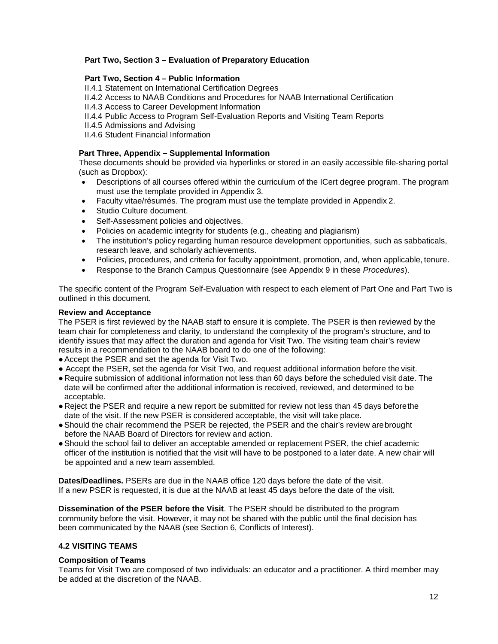#### **Part Two, Section 3 – Evaluation of Preparatory Education**

#### **Part Two, Section 4 – Public Information**

II.4.1 Statement on International Certification Degrees

- II.4.2 Access to NAAB Conditions and Procedures for NAAB International Certification
- II.4.3 Access to Career Development Information
- II.4.4 Public Access to Program Self-Evaluation Reports and Visiting Team Reports
- II.4.5 Admissions and Advising
- II.4.6 Student Financial Information

#### **Part Three, Appendix – Supplemental Information**

These documents should be provided via hyperlinks or stored in an easily accessible file-sharing portal (such as Dropbox):

- Descriptions of all courses offered within the curriculum of the ICert degree program. The program must use the template provided in Appendix 3.
- Faculty vitae/résumés. The program must use the template provided in Appendix 2.
- Studio Culture document.
- Self-Assessment policies and objectives.
- Policies on academic integrity for students (e.g., cheating and plagiarism)
- The institution's policy regarding human resource development opportunities, such as sabbaticals, research leave, and scholarly achievements.
- Policies, procedures, and criteria for faculty appointment, promotion, and, when applicable, tenure.
- Response to the Branch Campus Questionnaire (see Appendix 9 in these *Procedures*).

The specific content of the Program Self-Evaluation with respect to each element of Part One and Part Two is outlined in this document.

#### **Review and Acceptance**

The PSER is first reviewed by the NAAB staff to ensure it is complete. The PSER is then reviewed by the team chair for completeness and clarity, to understand the complexity of the program's structure, and to identify issues that may affect the duration and agenda for Visit Two. The visiting team chair's review results in a recommendation to the NAAB board to do one of the following:

- ●Accept the PSER and set the agenda for Visit Two.
- Accept the PSER, set the agenda for Visit Two, and request additional information before the visit.
- ●Require submission of additional information not less than 60 days before the scheduled visit date. The date will be confirmed after the additional information is received, reviewed, and determined to be acceptable.
- ●Reject the PSER and require a new report be submitted for review not less than 45 days beforethe date of the visit. If the new PSER is considered acceptable, the visit will take place.
- ●Should the chair recommend the PSER be rejected, the PSER and the chair's review arebrought before the NAAB Board of Directors for review and action.
- ●Should the school fail to deliver an acceptable amended or replacement PSER, the chief academic officer of the institution is notified that the visit will have to be postponed to a later date. A new chair will be appointed and a new team assembled.

**Dates/Deadlines.** PSERs are due in the NAAB office 120 days before the date of the visit. If a new PSER is requested, it is due at the NAAB at least 45 days before the date of the visit.

**Dissemination of the PSER before the Visit**. The PSER should be distributed to the program community before the visit. However, it may not be shared with the public until the final decision has been communicated by the NAAB (see Section 6, Conflicts of Interest).

#### **4.2 VISITING TEAMS**

#### **Composition of Teams**

Teams for Visit Two are composed of two individuals: an educator and a practitioner. A third member may be added at the discretion of the NAAB.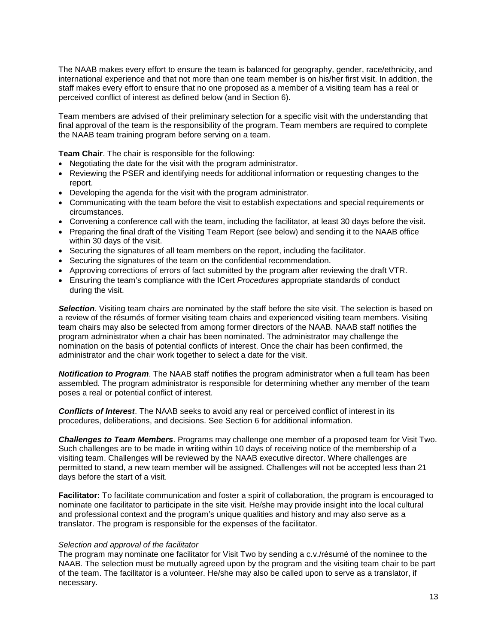The NAAB makes every effort to ensure the team is balanced for geography, gender, race/ethnicity, and international experience and that not more than one team member is on his/her first visit. In addition, the staff makes every effort to ensure that no one proposed as a member of a visiting team has a real or perceived conflict of interest as defined below (and in Section 6).

Team members are advised of their preliminary selection for a specific visit with the understanding that final approval of the team is the responsibility of the program. Team members are required to complete the NAAB team training program before serving on a team.

**Team Chair**. The chair is responsible for the following:

- Negotiating the date for the visit with the program administrator.
- Reviewing the PSER and identifying needs for additional information or requesting changes to the report.
- Developing the agenda for the visit with the program administrator.
- Communicating with the team before the visit to establish expectations and special requirements or circumstances.
- Convening a conference call with the team, including the facilitator, at least 30 days before the visit.
- Preparing the final draft of the Visiting Team Report (see below) and sending it to the NAAB office within 30 days of the visit.
- Securing the signatures of all team members on the report, including the facilitator.
- Securing the signatures of the team on the confidential recommendation.
- Approving corrections of errors of fact submitted by the program after reviewing the draft VTR.
- Ensuring the team's compliance with the ICert *Procedures* appropriate standards of conduct during the visit.

**Selection**. Visiting team chairs are nominated by the staff before the site visit. The selection is based on a review of the résumés of former visiting team chairs and experienced visiting team members. Visiting team chairs may also be selected from among former directors of the NAAB. NAAB staff notifies the program administrator when a chair has been nominated. The administrator may challenge the nomination on the basis of potential conflicts of interest. Once the chair has been confirmed, the administrator and the chair work together to select a date for the visit.

*Notification to Program*. The NAAB staff notifies the program administrator when a full team has been assembled. The program administrator is responsible for determining whether any member of the team poses a real or potential conflict of interest.

*Conflicts of Interest*. The NAAB seeks to avoid any real or perceived conflict of interest in its procedures, deliberations, and decisions. See Section 6 for additional information.

*Challenges to Team Members*. Programs may challenge one member of a proposed team for Visit Two. Such challenges are to be made in writing within 10 days of receiving notice of the membership of a visiting team. Challenges will be reviewed by the NAAB executive director. Where challenges are permitted to stand, a new team member will be assigned. Challenges will not be accepted less than 21 days before the start of a visit.

**Facilitator:** To facilitate communication and foster a spirit of collaboration, the program is encouraged to nominate one facilitator to participate in the site visit. He/she may provide insight into the local cultural and professional context and the program's unique qualities and history and may also serve as a translator. The program is responsible for the expenses of the facilitator.

#### *Selection and approval of the facilitator*

The program may nominate one facilitator for Visit Two by sending a c.v./résumé of the nominee to the NAAB. The selection must be mutually agreed upon by the program and the visiting team chair to be part of the team. The facilitator is a volunteer. He/she may also be called upon to serve as a translator, if necessary.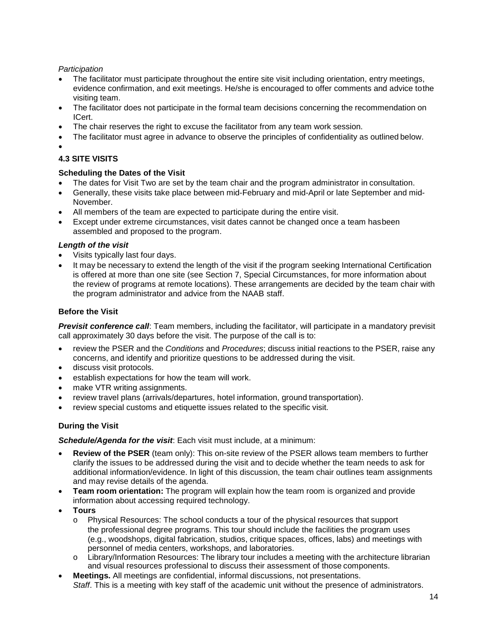#### *Participation*

- The facilitator must participate throughout the entire site visit including orientation, entry meetings, evidence confirmation, and exit meetings. He/she is encouraged to offer comments and advice tothe visiting team.
- The facilitator does not participate in the formal team decisions concerning the recommendation on ICert.
- The chair reserves the right to excuse the facilitator from any team work session.
- The facilitator must agree in advance to observe the principles of confidentiality as outlined below.
- •

# **4.3 SITE VISITS**

#### **Scheduling the Dates of the Visit**

- The dates for Visit Two are set by the team chair and the program administrator in consultation.
- Generally, these visits take place between mid-February and mid-April or late September and mid-November.
- All members of the team are expected to participate during the entire visit.
- Except under extreme circumstances, visit dates cannot be changed once a team hasbeen assembled and proposed to the program.

#### *Length of the visit*

- Visits typically last four days.
- It may be necessary to extend the length of the visit if the program seeking International Certification is offered at more than one site (see Section 7, Special Circumstances, for more information about the review of programs at remote locations). These arrangements are decided by the team chair with the program administrator and advice from the NAAB staff.

#### **Before the Visit**

*Previsit conference call*: Team members, including the facilitator, will participate in a mandatory previsit call approximately 30 days before the visit. The purpose of the call is to:

- review the PSER and the *Conditions* and *Procedures*; discuss initial reactions to the PSER, raise any concerns, and identify and prioritize questions to be addressed during the visit.
- discuss visit protocols.
- establish expectations for how the team will work.
- make VTR writing assignments.
- review travel plans (arrivals/departures, hotel information, ground transportation).
- review special customs and etiquette issues related to the specific visit.

# **During the Visit**

*Schedule/Agenda for the visit*: Each visit must include, at a minimum:

- **Review of the PSER** (team only): This on-site review of the PSER allows team members to further clarify the issues to be addressed during the visit and to decide whether the team needs to ask for additional information/evidence. In light of this discussion, the team chair outlines team assignments and may revise details of the agenda.
- **Team room orientation:** The program will explain how the team room is organized and provide information about accessing required technology.
- **Tours**
	- o Physical Resources: The school conducts a tour of the physical resources that support the professional degree programs. This tour should include the facilities the program uses (e.g., woodshops, digital fabrication, studios, critique spaces, offices, labs) and meetings with personnel of media centers, workshops, and laboratories.
	- $\circ$  Library/Information Resources: The library tour includes a meeting with the architecture librarian and visual resources professional to discuss their assessment of those components.
- **Meetings.** All meetings are confidential, informal discussions, not presentations. *Staff*. This is a meeting with key staff of the academic unit without the presence of administrators.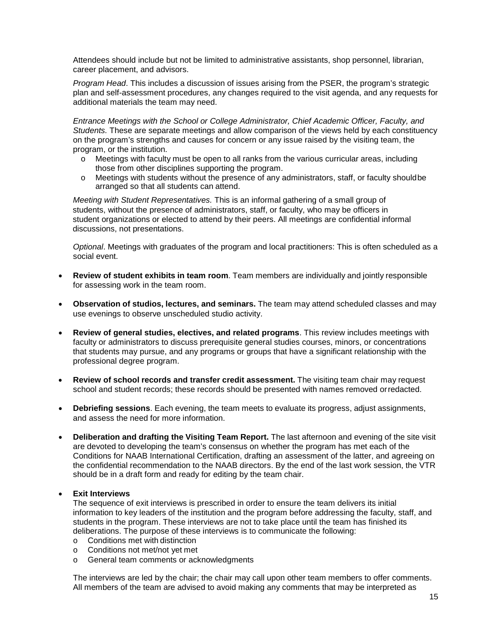Attendees should include but not be limited to administrative assistants, shop personnel, librarian, career placement, and advisors.

*Program Head*. This includes a discussion of issues arising from the PSER, the program's strategic plan and self-assessment procedures, any changes required to the visit agenda, and any requests for additional materials the team may need.

*Entrance Meetings with the School or College Administrator, Chief Academic Officer, Faculty, and Students.* These are separate meetings and allow comparison of the views held by each constituency on the program's strengths and causes for concern or any issue raised by the visiting team, the program, or the institution.

- o Meetings with faculty must be open to all ranks from the various curricular areas, including those from other disciplines supporting the program.
- o Meetings with students without the presence of any administrators, staff, or faculty shouldbe arranged so that all students can attend.

*Meeting with Student Representatives.* This is an informal gathering of a small group of students, without the presence of administrators, staff, or faculty, who may be officers in student organizations or elected to attend by their peers. All meetings are confidential informal discussions, not presentations.

*Optional*. Meetings with graduates of the program and local practitioners: This is often scheduled as a social event.

- **Review of student exhibits in team room**. Team members are individually and jointly responsible for assessing work in the team room.
- **Observation of studios, lectures, and seminars.** The team may attend scheduled classes and may use evenings to observe unscheduled studio activity.
- **Review of general studies, electives, and related programs**. This review includes meetings with faculty or administrators to discuss prerequisite general studies courses, minors, or concentrations that students may pursue, and any programs or groups that have a significant relationship with the professional degree program.
- **Review of school records and transfer credit assessment.** The visiting team chair may request school and student records; these records should be presented with names removed orredacted.
- **Debriefing sessions**. Each evening, the team meets to evaluate its progress, adjust assignments, and assess the need for more information.
- **Deliberation and drafting the Visiting Team Report.** The last afternoon and evening of the site visit are devoted to developing the team's consensus on whether the program has met each of the Conditions for NAAB International Certification, drafting an assessment of the latter, and agreeing on the confidential recommendation to the NAAB directors. By the end of the last work session, the VTR should be in a draft form and ready for editing by the team chair.

#### • **Exit Interviews**

The sequence of exit interviews is prescribed in order to ensure the team delivers its initial information to key leaders of the institution and the program before addressing the faculty, staff, and students in the program. These interviews are not to take place until the team has finished its deliberations. The purpose of these interviews is to communicate the following:

- o Conditions met with distinction
- o Conditions not met/not yet met
- o General team comments or acknowledgments

The interviews are led by the chair; the chair may call upon other team members to offer comments. All members of the team are advised to avoid making any comments that may be interpreted as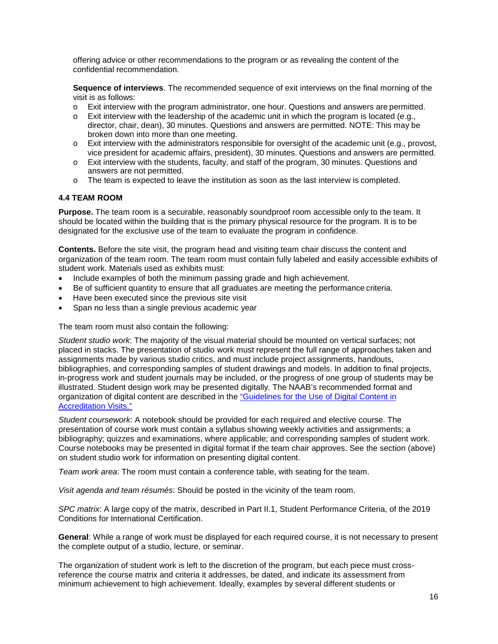offering advice or other recommendations to the program or as revealing the content of the confidential recommendation.

**Sequence of interviews**. The recommended sequence of exit interviews on the final morning of the visit is as follows:

- o Exit interview with the program administrator, one hour. Questions and answers are permitted.
- o Exit interview with the leadership of the academic unit in which the program is located (e.g., director, chair, dean), 30 minutes. Questions and answers are permitted. NOTE: This may be broken down into more than one meeting.
- $\circ$  Exit interview with the administrators responsible for oversight of the academic unit (e.g., provost, vice president for academic affairs, president), 30 minutes. Questions and answers are permitted.
- o Exit interview with the students, faculty, and staff of the program, 30 minutes. Questions and answers are not permitted.
- o The team is expected to leave the institution as soon as the last interview is completed.

#### <span id="page-19-0"></span>**4.4 TEAM ROOM**

**Purpose.** The team room is a securable, reasonably soundproof room accessible only to the team. It should be located within the building that is the primary physical resource for the program. It is to be designated for the exclusive use of the team to evaluate the program in confidence.

**Contents.** Before the site visit, the program head and visiting team chair discuss the content and organization of the team room. The team room must contain fully labeled and easily accessible exhibits of student work. Materials used as exhibits must:

- Include examples of both the minimum passing grade and high achievement.
- Be of sufficient quantity to ensure that all graduates are meeting the performance criteria.
- Have been executed since the previous site visit
- Span no less than a single previous academic year

The team room must also contain the following:

*Student studio work*: The majority of the visual material should be mounted on vertical surfaces; not placed in stacks. The presentation of studio work must represent the full range of approaches taken and assignments made by various studio critics, and must include project assignments, handouts, bibliographies, and corresponding samples of student drawings and models. In addition to final projects, in-progress work and student journals may be included, or the progress of one group of students may be illustrated. Student design work may be presented digitally. The NAAB's recommended format and organization of digital content are described in the ["Guidelines for the Use of Digital Content in](https://www.naab.org/wp-content/uploads/NAAB-Guidelines-for-the-Use-of-Digital-Content-in-Accreditation-Visits_July2017.pdf) [Accreditation Visits."](https://www.naab.org/wp-content/uploads/NAAB-Guidelines-for-the-Use-of-Digital-Content-in-Accreditation-Visits_July2017.pdf)

*Student coursework*: A notebook should be provided for each required and elective course. The presentation of course work must contain a syllabus showing weekly activities and assignments; a bibliography; quizzes and examinations, where applicable; and corresponding samples of student work. Course notebooks may be presented in digital format if the team chair approves. See the section (above) on student studio work for information on presenting digital content.

*Team work area*: The room must contain a conference table, with seating for the team.

*Visit agenda and team résumés*: Should be posted in the vicinity of the team room.

*SPC matrix*: A large copy of the matrix, described in Part II.1, Student Performance Criteria, of the 2019 Conditions for International Certification.

**General**: While a range of work must be displayed for each required course, it is not necessary to present the complete output of a studio, lecture, or seminar.

The organization of student work is left to the discretion of the program, but each piece must crossreference the course matrix and criteria it addresses, be dated, and indicate its assessment from minimum achievement to high achievement. Ideally, examples by several different students or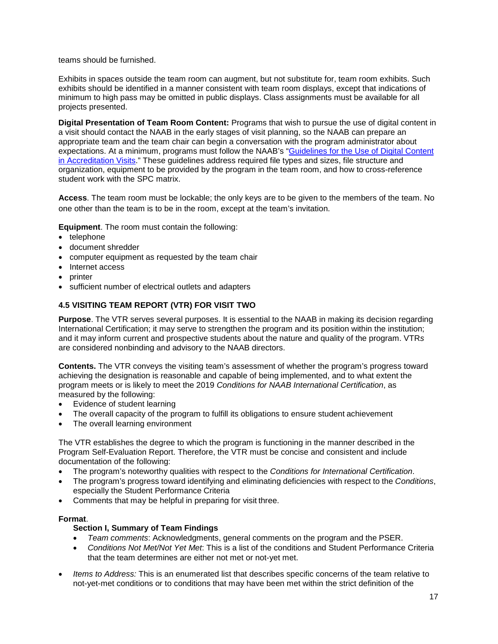teams should be furnished.

Exhibits in spaces outside the team room can augment, but not substitute for, team room exhibits. Such exhibits should be identified in a manner consistent with team room displays, except that indications of minimum to high pass may be omitted in public displays. Class assignments must be available for all projects presented.

**Digital Presentation of Team Room Content:** Programs that wish to pursue the use of digital content in a visit should contact the NAAB in the early stages of visit planning, so the NAAB can prepare an appropriate team and the team chair can begin a conversation with the program administrator about expectations. At a minimum, programs must follow the NAAB's ["Guidelines for the Use of Digital Content](https://www.naab.org/wp-content/uploads/REV2a_Guidelines-for-the-Use-of-Digital-Content-in-Accreditation-Visits.pdf) [in Accreditation Visits."](https://www.naab.org/wp-content/uploads/REV2a_Guidelines-for-the-Use-of-Digital-Content-in-Accreditation-Visits.pdf) These guidelines address required file types and sizes, file structure and organization, equipment to be provided by the program in the team room, and how to cross-reference student work with the SPC matrix.

**Access**. The team room must be lockable; the only keys are to be given to the members of the team. No one other than the team is to be in the room, except at the team's invitation.

**Equipment**. The room must contain the following:

- telephone
- document shredder
- computer equipment as requested by the team chair
- Internet access
- printer
- sufficient number of electrical outlets and adapters

#### <span id="page-20-0"></span>**4.5 VISITING TEAM REPORT (VTR) FOR VISIT TWO**

**Purpose**. The VTR serves several purposes. It is essential to the NAAB in making its decision regarding International Certification; it may serve to strengthen the program and its position within the institution; and it may inform current and prospective students about the nature and quality of the program. VTR*s*  are considered nonbinding and advisory to the NAAB directors.

**Contents.** The VTR conveys the visiting team's assessment of whether the program's progress toward achieving the designation is reasonable and capable of being implemented, and to what extent the program meets or is likely to meet the 2019 *Conditions for NAAB International Certification*, as measured by the following:

- Evidence of student learning
- The overall capacity of the program to fulfill its obligations to ensure student achievement
- The overall learning environment

The VTR establishes the degree to which the program is functioning in the manner described in the Program Self-Evaluation Report. Therefore, the VTR must be concise and consistent and include documentation of the following:

- The program's noteworthy qualities with respect to the *Conditions for International Certification*.
- The program's progress toward identifying and eliminating deficiencies with respect to the *Conditions*, especially the Student Performance Criteria
- Comments that may be helpful in preparing for visit three.

#### **Format**.

#### **Section I, Summary of Team Findings**

- *Team comments*: Acknowledgments, general comments on the program and the PSER.
- *Conditions Not Met/Not Yet Met*: This is a list of the conditions and Student Performance Criteria that the team determines are either not met or not-yet met.
- *Items to Address:* This is an enumerated list that describes specific concerns of the team relative to not-yet-met conditions or to conditions that may have been met within the strict definition of the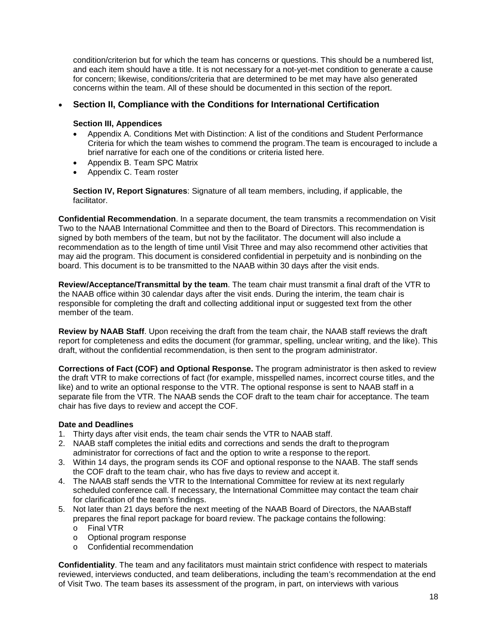condition/criterion but for which the team has concerns or questions. This should be a numbered list, and each item should have a title. It is not necessary for a not-yet-met condition to generate a cause for concern; likewise, conditions/criteria that are determined to be met may have also generated concerns within the team. All of these should be documented in this section of the report.

#### • **Section II, Compliance with the Conditions for International Certification**

#### **Section III, Appendices**

- Appendix A. Conditions Met with Distinction: A list of the conditions and Student Performance Criteria for which the team wishes to commend the program.The team is encouraged to include a brief narrative for each one of the conditions or criteria listed here.
- Appendix B. Team SPC Matrix
- Appendix C. Team roster

**Section IV, Report Signatures**: Signature of all team members, including, if applicable, the facilitator.

**Confidential Recommendation**. In a separate document, the team transmits a recommendation on Visit Two to the NAAB International Committee and then to the Board of Directors. This recommendation is signed by both members of the team, but not by the facilitator. The document will also include a recommendation as to the length of time until Visit Three and may also recommend other activities that may aid the program. This document is considered confidential in perpetuity and is nonbinding on the board. This document is to be transmitted to the NAAB within 30 days after the visit ends.

**Review/Acceptance/Transmittal by the team**. The team chair must transmit a final draft of the VTR to the NAAB office within 30 calendar days after the visit ends. During the interim, the team chair is responsible for completing the draft and collecting additional input or suggested text from the other member of the team.

**Review by NAAB Staff**. Upon receiving the draft from the team chair, the NAAB staff reviews the draft report for completeness and edits the document (for grammar, spelling, unclear writing, and the like). This draft, without the confidential recommendation, is then sent to the program administrator.

**Corrections of Fact (COF) and Optional Response.** The program administrator is then asked to review the draft VTR to make corrections of fact (for example, misspelled names, incorrect course titles, and the like) and to write an optional response to the VTR. The optional response is sent to NAAB staff in a separate file from the VTR. The NAAB sends the COF draft to the team chair for acceptance. The team chair has five days to review and accept the COF.

#### **Date and Deadlines**

- 1. Thirty days after visit ends, the team chair sends the VTR to NAAB staff.
- 2. NAAB staff completes the initial edits and corrections and sends the draft to theprogram administrator for corrections of fact and the option to write a response to the report.
- 3. Within 14 days, the program sends its COF and optional response to the NAAB. The staff sends the COF draft to the team chair, who has five days to review and accept it.
- 4. The NAAB staff sends the VTR to the International Committee for review at its next regularly scheduled conference call. If necessary, the International Committee may contact the team chair for clarification of the team's findings.
- 5. Not later than 21 days before the next meeting of the NAAB Board of Directors, the NAABstaff prepares the final report package for board review. The package contains the following:
	- o Final VTR
	- o Optional program response
	- o Confidential recommendation

**Confidentiality**. The team and any facilitators must maintain strict confidence with respect to materials reviewed, interviews conducted, and team deliberations, including the team's recommendation at the end of Visit Two. The team bases its assessment of the program, in part, on interviews with various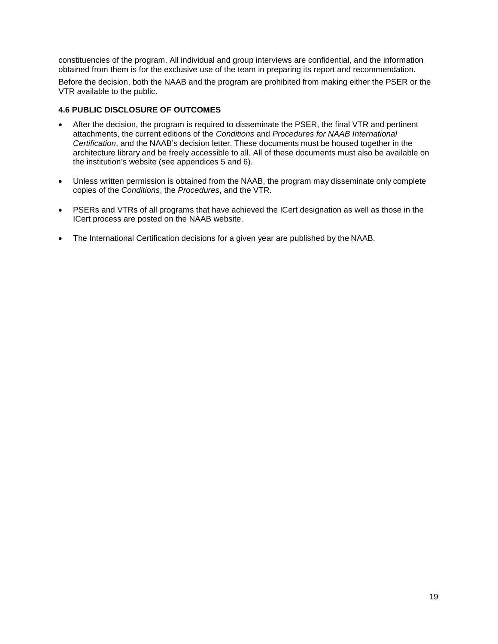constituencies of the program. All individual and group interviews are confidential, and the information obtained from them is for the exclusive use of the team in preparing its report and recommendation.

Before the decision, both the NAAB and the program are prohibited from making either the PSER or the VTR available to the public.

#### <span id="page-22-0"></span>**4.6 PUBLIC DISCLOSURE OF OUTCOMES**

- After the decision, the program is required to disseminate the PSER, the final VTR and pertinent attachments, the current editions of the *Conditions* and *Procedures for NAAB International Certification*, and the NAAB's decision letter. These documents must be housed together in the architecture library and be freely accessible to all. All of these documents must also be available on the institution's website (see appendices 5 and 6).
- Unless written permission is obtained from the NAAB, the program may disseminate only complete copies of the *Conditions*, the *Procedures*, and the VTR.
- PSERs and VTRs of all programs that have achieved the ICert designation as well as those in the ICert process are posted on the NAAB website.
- The International Certification decisions for a given year are published by the NAAB.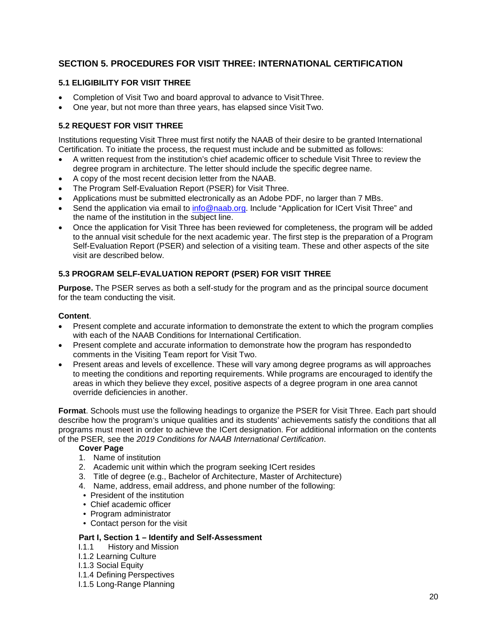# <span id="page-23-0"></span>**SECTION 5. PROCEDURES FOR VISIT THREE: INTERNATIONAL CERTIFICATION**

#### <span id="page-23-1"></span>**5.1 ELIGIBILITY FOR VISIT THREE**

- Completion of Visit Two and board approval to advance to VisitThree.
- One year, but not more than three years, has elapsed since VisitTwo.

#### <span id="page-23-2"></span>**5.2 REQUEST FOR VISIT THREE**

Institutions requesting Visit Three must first notify the NAAB of their desire to be granted International Certification. To initiate the process, the request must include and be submitted as follows:

- A written request from the institution's chief academic officer to schedule Visit Three to review the degree program in architecture. The letter should include the specific degree name.
- A copy of the most recent decision letter from the NAAB.
- The Program Self-Evaluation Report (PSER) for Visit Three.
- Applications must be submitted electronically as an Adobe PDF, no larger than 7 MBs.
- Send the application via email to [info@naab.org. I](mailto:info@naab.org)nclude "Application for ICert Visit Three" and the name of the institution in the subject line.
- Once the application for Visit Three has been reviewed for completeness, the program will be added to the annual visit schedule for the next academic year. The first step is the preparation of a Program Self-Evaluation Report (PSER) and selection of a visiting team. These and other aspects of the site visit are described below.

#### **5.3 PROGRAM SELF-EVALUATION REPORT (PSER) FOR VISIT THREE**

**Purpose.** The PSER serves as both a self-study for the program and as the principal source document for the team conducting the visit.

#### **Content**.

- Present complete and accurate information to demonstrate the extent to which the program complies with each of the NAAB Conditions for International Certification.
- Present complete and accurate information to demonstrate how the program has respondedto comments in the Visiting Team report for Visit Two.
- Present areas and levels of excellence. These will vary among degree programs as will approaches to meeting the conditions and reporting requirements. While programs are encouraged to identify the areas in which they believe they excel, positive aspects of a degree program in one area cannot override deficiencies in another.

**Format**. Schools must use the following headings to organize the PSER for Visit Three. Each part should describe how the program's unique qualities and its students' achievements satisfy the conditions that all programs must meet in order to achieve the ICert designation. For additional information on the contents of the PSER*,* see the *2019 Conditions for NAAB International Certification*.

#### **Cover Page**

- 1. Name of institution
- 2. Academic unit within which the program seeking ICert resides
- 3. Title of degree (e.g., Bachelor of Architecture, Master of Architecture)
- 4. Name, address, email address, and phone number of the following:
- President of the institution
- Chief academic officer
- Program administrator
- Contact person for the visit

#### **Part I, Section 1 – Identify and Self-Assessment**

- I.1.1 History and Mission
- I.1.2 Learning Culture
- I.1.3 Social Equity
- I.1.4 Defining Perspectives
- I.1.5 Long-Range Planning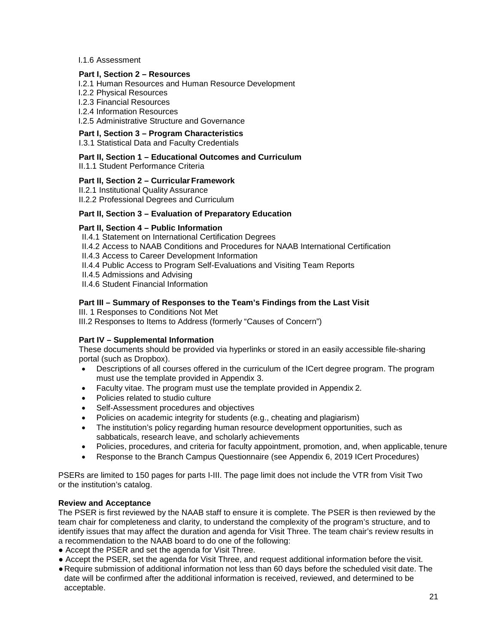#### I.1.6 Assessment

#### **Part I, Section 2 – Resources**

- I.2.1 Human Resources and Human Resource Development
- I.2.2 Physical Resources
- I.2.3 Financial Resources
- I.2.4 Information Resources

I.2.5 Administrative Structure and Governance

# **Part I, Section 3 – Program Characteristics**

I.3.1 Statistical Data and Faculty Credentials

#### **Part II, Section 1 – Educational Outcomes and Curriculum**

II.1.1. Student Performance Criteria

#### **Part II, Section 2 – Curricular Framework**

II.2.1 Institutional Quality Assurance

II.2.2 Professional Degrees and Curriculum

#### **Part II, Section 3 – Evaluation of Preparatory Education**

#### **Part II, Section 4 – Public Information**

- II.4.1 Statement on International Certification Degrees
- II.4.2 Access to NAAB Conditions and Procedures for NAAB International Certification
- II.4.3 Access to Career Development Information
- II.4.4 Public Access to Program Self-Evaluations and Visiting Team Reports
- II.4.5 Admissions and Advising
- II.4.6 Student Financial Information

#### **Part III – Summary of Responses to the Team's Findings from the Last Visit**

III. 1 Responses to Conditions Not Met

III.2 Responses to Items to Address (formerly "Causes of Concern")

#### **Part IV – Supplemental Information**

These documents should be provided via hyperlinks or stored in an easily accessible file-sharing portal (such as Dropbox).

- Descriptions of all courses offered in the curriculum of the ICert degree program. The program must use the template provided in Appendix 3.
- Faculty vitae. The program must use the template provided in Appendix 2.
- Policies related to studio culture
- Self-Assessment procedures and objectives
- Policies on academic integrity for students (e.g., cheating and plagiarism)
- The institution's policy regarding human resource development opportunities, such as sabbaticals, research leave, and scholarly achievements
- Policies, procedures, and criteria for faculty appointment, promotion, and, when applicable, tenure
- Response to the Branch Campus Questionnaire (see Appendix 6, 2019 ICert Procedures)

PSERs are limited to 150 pages for parts I-III. The page limit does not include the VTR from Visit Two or the institution's catalog.

#### **Review and Acceptance**

The PSER is first reviewed by the NAAB staff to ensure it is complete. The PSER is then reviewed by the team chair for completeness and clarity, to understand the complexity of the program's structure, and to identify issues that may affect the duration and agenda for Visit Three. The team chair's review results in a recommendation to the NAAB board to do one of the following:

- Accept the PSER and set the agenda for Visit Three.
- Accept the PSER, set the agenda for Visit Three, and request additional information before the visit.
- ●Require submission of additional information not less than 60 days before the scheduled visit date. The date will be confirmed after the additional information is received, reviewed, and determined to be acceptable.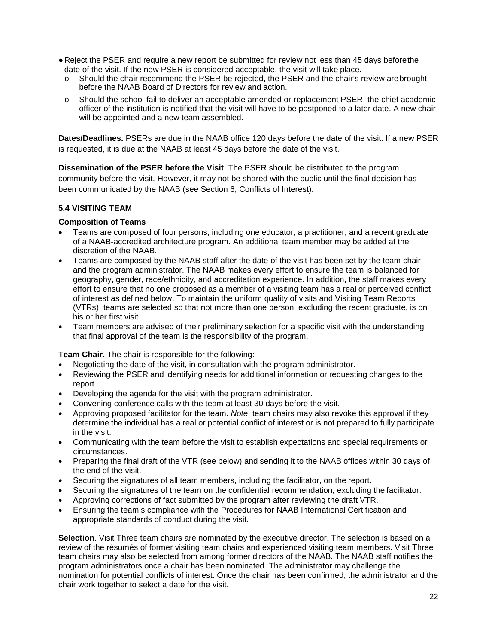- ●Reject the PSER and require a new report be submitted for review not less than 45 days beforethe date of the visit. If the new PSER is considered acceptable, the visit will take place.
	- o Should the chair recommend the PSER be rejected, the PSER and the chair's review arebrought before the NAAB Board of Directors for review and action.
	- o Should the school fail to deliver an acceptable amended or replacement PSER, the chief academic officer of the institution is notified that the visit will have to be postponed to a later date. A new chair will be appointed and a new team assembled.

**Dates/Deadlines.** PSERs are due in the NAAB office 120 days before the date of the visit. If a new PSER is requested, it is due at the NAAB at least 45 days before the date of the visit.

**Dissemination of the PSER before the Visit**. The PSER should be distributed to the program community before the visit. However, it may not be shared with the public until the final decision has been communicated by the NAAB (see Section 6, Conflicts of Interest).

#### **5.4 VISITING TEAM**

#### **Composition of Teams**

- Teams are composed of four persons, including one educator, a practitioner, and a recent graduate of a NAAB-accredited architecture program. An additional team member may be added at the discretion of the NAAB.
- Teams are composed by the NAAB staff after the date of the visit has been set by the team chair and the program administrator. The NAAB makes every effort to ensure the team is balanced for geography, gender, race/ethnicity, and accreditation experience. In addition, the staff makes every effort to ensure that no one proposed as a member of a visiting team has a real or perceived conflict of interest as defined below. To maintain the uniform quality of visits and Visiting Team Reports (VTRs), teams are selected so that not more than one person, excluding the recent graduate, is on his or her first visit.
- Team members are advised of their preliminary selection for a specific visit with the understanding that final approval of the team is the responsibility of the program.

**Team Chair**. The chair is responsible for the following:

- Negotiating the date of the visit, in consultation with the program administrator.
- Reviewing the PSER and identifying needs for additional information or requesting changes to the report.
- Developing the agenda for the visit with the program administrator.
- Convening conference calls with the team at least 30 days before the visit.
- Approving proposed facilitator for the team. *Note*: team chairs may also revoke this approval if they determine the individual has a real or potential conflict of interest or is not prepared to fully participate in the visit.
- Communicating with the team before the visit to establish expectations and special requirements or circumstances.
- Preparing the final draft of the VTR (see below) and sending it to the NAAB offices within 30 days of the end of the visit.
- Securing the signatures of all team members, including the facilitator, on the report.
- Securing the signatures of the team on the confidential recommendation, excluding the facilitator.
- Approving corrections of fact submitted by the program after reviewing the draft VTR.
- Ensuring the team's compliance with the Procedures for NAAB International Certification and appropriate standards of conduct during the visit.

**Selection**. Visit Three team chairs are nominated by the executive director. The selection is based on a review of the résumés of former visiting team chairs and experienced visiting team members. Visit Three team chairs may also be selected from among former directors of the NAAB. The NAAB staff notifies the program administrators once a chair has been nominated. The administrator may challenge the nomination for potential conflicts of interest. Once the chair has been confirmed, the administrator and the chair work together to select a date for the visit.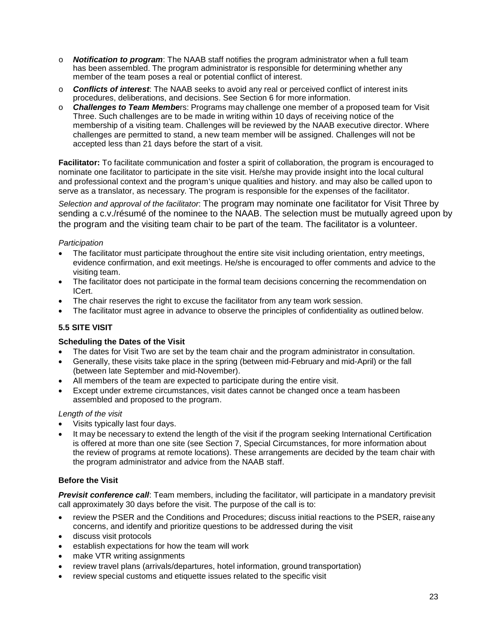- **Notification to program:** The NAAB staff notifies the program administrator when a full team has been assembled. The program administrator is responsible for determining whether any member of the team poses a real or potential conflict of interest.
- o *Conflicts of interest*: The NAAB seeks to avoid any real or perceived conflict of interest inits procedures, deliberations, and decisions. See Section 6 for more information.
- **Challenges to Team Members:** Programs may challenge one member of a proposed team for Visit Three. Such challenges are to be made in writing within 10 days of receiving notice of the membership of a visiting team. Challenges will be reviewed by the NAAB executive director. Where challenges are permitted to stand, a new team member will be assigned. Challenges will not be accepted less than 21 days before the start of a visit.

**Facilitator:** To facilitate communication and foster a spirit of collaboration, the program is encouraged to nominate one facilitator to participate in the site visit. He/she may provide insight into the local cultural and professional context and the program's unique qualities and history. and may also be called upon to serve as a translator, as necessary. The program is responsible for the expenses of the facilitator.

*Selection and approval of the facilitator*: The program may nominate one facilitator for Visit Three by sending a c.v./résumé of the nominee to the NAAB. The selection must be mutually agreed upon by the program and the visiting team chair to be part of the team. The facilitator is a volunteer.

#### *Participation*

- The facilitator must participate throughout the entire site visit including orientation, entry meetings, evidence confirmation, and exit meetings. He/she is encouraged to offer comments and advice to the visiting team.
- The facilitator does not participate in the formal team decisions concerning the recommendation on ICert.
- The chair reserves the right to excuse the facilitator from any team work session.
- The facilitator must agree in advance to observe the principles of confidentiality as outlined below.

#### <span id="page-26-0"></span>**5.5 SITE VISIT**

#### **Scheduling the Dates of the Visit**

- The dates for Visit Two are set by the team chair and the program administrator in consultation.
- Generally, these visits take place in the spring (between mid-February and mid-April) or the fall (between late September and mid-November).
- All members of the team are expected to participate during the entire visit.
- Except under extreme circumstances, visit dates cannot be changed once a team hasbeen assembled and proposed to the program.

#### *Length of the visit*

- Visits typically last four days.
- It may be necessary to extend the length of the visit if the program seeking International Certification is offered at more than one site (see Section 7, Special Circumstances, for more information about the review of programs at remote locations). These arrangements are decided by the team chair with the program administrator and advice from the NAAB staff.

#### **Before the Visit**

*Previsit conference call*: Team members, including the facilitator, will participate in a mandatory previsit call approximately 30 days before the visit. The purpose of the call is to:

- review the PSER and the Conditions and Procedures; discuss initial reactions to the PSER, raiseany concerns, and identify and prioritize questions to be addressed during the visit
- discuss visit protocols
- establish expectations for how the team will work
- make VTR writing assignments
- review travel plans (arrivals/departures, hotel information, ground transportation)
- review special customs and etiquette issues related to the specific visit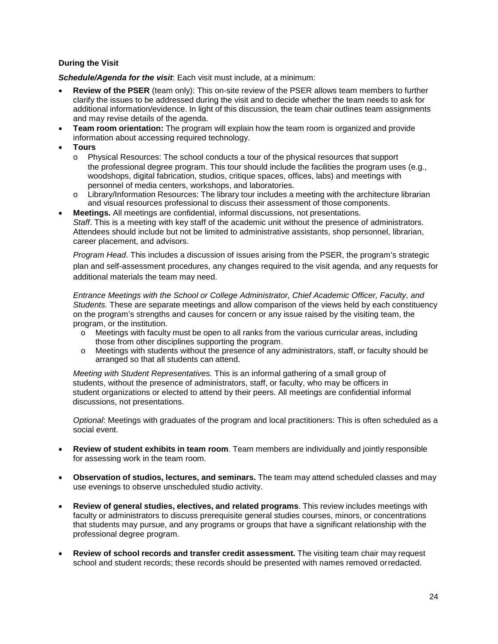#### **During the Visit**

*Schedule/Agenda for the visit*: Each visit must include, at a minimum:

- **Review of the PSER** (team only): This on-site review of the PSER allows team members to further clarify the issues to be addressed during the visit and to decide whether the team needs to ask for additional information/evidence. In light of this discussion, the team chair outlines team assignments and may revise details of the agenda.
- **Team room orientation:** The program will explain how the team room is organized and provide information about accessing required technology.
- **Tours**
	- o Physical Resources: The school conducts a tour of the physical resources that support the professional degree program. This tour should include the facilities the program uses (e.g., woodshops, digital fabrication, studios, critique spaces, offices, labs) and meetings with personnel of media centers, workshops, and laboratories.
	- $\circ$  Library/Information Resources: The library tour includes a meeting with the architecture librarian and visual resources professional to discuss their assessment of those components.
- **Meetings.** All meetings are confidential, informal discussions, not presentations. *Staff*. This is a meeting with key staff of the academic unit without the presence of administrators. Attendees should include but not be limited to administrative assistants, shop personnel, librarian, career placement, and advisors.

*Program Head*. This includes a discussion of issues arising from the PSER, the program's strategic plan and self-assessment procedures, any changes required to the visit agenda, and any requests for additional materials the team may need.

*Entrance Meetings with the School or College Administrator, Chief Academic Officer, Faculty, and Students.* These are separate meetings and allow comparison of the views held by each constituency on the program's strengths and causes for concern or any issue raised by the visiting team, the program, or the institution.

- $\circ$  Meetings with faculty must be open to all ranks from the various curricular areas, including those from other disciplines supporting the program.
- o Meetings with students without the presence of any administrators, staff, or faculty should be arranged so that all students can attend.

*Meeting with Student Representatives.* This is an informal gathering of a small group of students, without the presence of administrators, staff, or faculty, who may be officers in student organizations or elected to attend by their peers. All meetings are confidential informal discussions, not presentations.

*Optional*: Meetings with graduates of the program and local practitioners: This is often scheduled as a social event.

- **Review of student exhibits in team room**. Team members are individually and jointly responsible for assessing work in the team room.
- **Observation of studios, lectures, and seminars.** The team may attend scheduled classes and may use evenings to observe unscheduled studio activity.
- **Review of general studies, electives, and related programs**. This review includes meetings with faculty or administrators to discuss prerequisite general studies courses, minors, or concentrations that students may pursue, and any programs or groups that have a significant relationship with the professional degree program.
- **Review of school records and transfer credit assessment.** The visiting team chair may request school and student records; these records should be presented with names removed orredacted.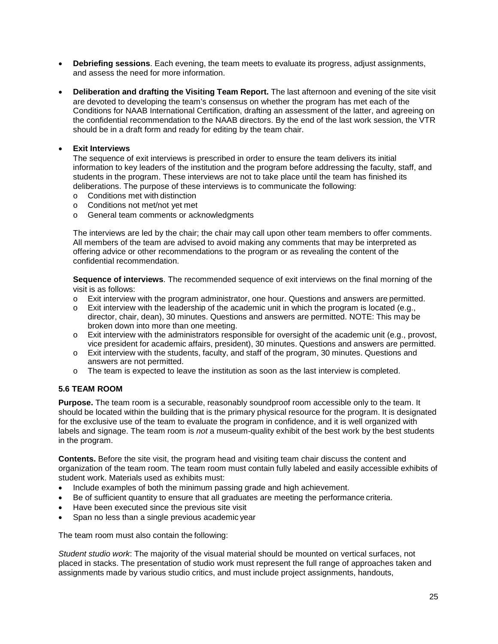- **Debriefing sessions**. Each evening, the team meets to evaluate its progress, adjust assignments, and assess the need for more information.
- **Deliberation and drafting the Visiting Team Report.** The last afternoon and evening of the site visit are devoted to developing the team's consensus on whether the program has met each of the Conditions for NAAB International Certification, drafting an assessment of the latter, and agreeing on the confidential recommendation to the NAAB directors. By the end of the last work session, the VTR should be in a draft form and ready for editing by the team chair.

#### • **Exit Interviews**

The sequence of exit interviews is prescribed in order to ensure the team delivers its initial information to key leaders of the institution and the program before addressing the faculty, staff, and students in the program. These interviews are not to take place until the team has finished its deliberations. The purpose of these interviews is to communicate the following:

- o Conditions met with distinction
- o Conditions not met/not yet met
- o General team comments or acknowledgments

The interviews are led by the chair; the chair may call upon other team members to offer comments. All members of the team are advised to avoid making any comments that may be interpreted as offering advice or other recommendations to the program or as revealing the content of the confidential recommendation.

**Sequence of interviews**. The recommended sequence of exit interviews on the final morning of the visit is as follows:

- $\circ$  Exit interview with the program administrator, one hour. Questions and answers are permitted.
- $\circ$  Exit interview with the leadership of the academic unit in which the program is located (e.g., director, chair, dean), 30 minutes. Questions and answers are permitted. NOTE: This may be broken down into more than one meeting.
- $\circ$  Exit interview with the administrators responsible for oversight of the academic unit (e.g., provost, vice president for academic affairs, president), 30 minutes. Questions and answers are permitted.
- o Exit interview with the students, faculty, and staff of the program, 30 minutes. Questions and answers are not permitted.
- o The team is expected to leave the institution as soon as the last interview is completed.

#### <span id="page-28-0"></span>**5.6 TEAM ROOM**

**Purpose.** The team room is a securable, reasonably soundproof room accessible only to the team. It should be located within the building that is the primary physical resource for the program. It is designated for the exclusive use of the team to evaluate the program in confidence, and it is well organized with labels and signage. The team room is *not* a museum-quality exhibit of the best work by the best students in the program.

**Contents.** Before the site visit, the program head and visiting team chair discuss the content and organization of the team room. The team room must contain fully labeled and easily accessible exhibits of student work. Materials used as exhibits must:

- Include examples of both the minimum passing grade and high achievement.
- Be of sufficient quantity to ensure that all graduates are meeting the performance criteria.
- Have been executed since the previous site visit
- Span no less than a single previous academic year

The team room must also contain the following:

*Student studio work*: The majority of the visual material should be mounted on vertical surfaces, not placed in stacks. The presentation of studio work must represent the full range of approaches taken and assignments made by various studio critics, and must include project assignments, handouts,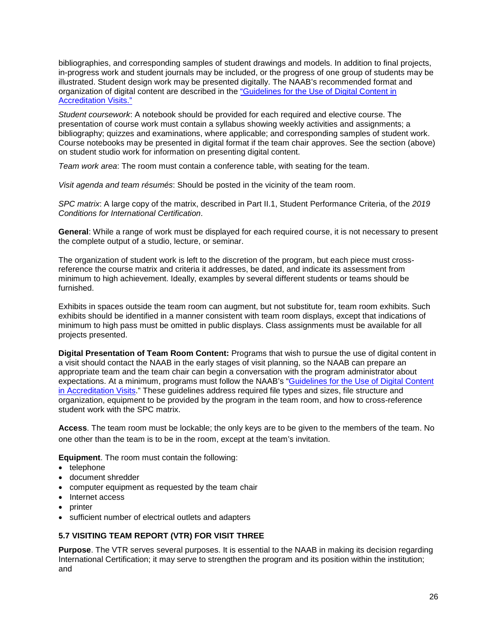bibliographies, and corresponding samples of student drawings and models. In addition to final projects, in-progress work and student journals may be included, or the progress of one group of students may be illustrated. Student design work may be presented digitally. The NAAB's recommended format and organization of digital content are described in the ["Guidelines for the Use of Digital Content in](https://www.naab.org/wp-content/uploads/NAAB-Guidelines-for-the-Use-of-Digital-Content-in-Accreditation-Visits_July2017.pdf) [Accreditation Visits."](https://www.naab.org/wp-content/uploads/NAAB-Guidelines-for-the-Use-of-Digital-Content-in-Accreditation-Visits_July2017.pdf)

*Student coursework*: A notebook should be provided for each required and elective course. The presentation of course work must contain a syllabus showing weekly activities and assignments; a bibliography; quizzes and examinations, where applicable; and corresponding samples of student work. Course notebooks may be presented in digital format if the team chair approves. See the section (above) on student studio work for information on presenting digital content.

*Team work area*: The room must contain a conference table, with seating for the team.

*Visit agenda and team résumés*: Should be posted in the vicinity of the team room.

*SPC matrix*: A large copy of the matrix, described in Part II.1, Student Performance Criteria, of the *2019 Conditions for International Certification*.

**General**: While a range of work must be displayed for each required course, it is not necessary to present the complete output of a studio, lecture, or seminar.

The organization of student work is left to the discretion of the program, but each piece must crossreference the course matrix and criteria it addresses, be dated, and indicate its assessment from minimum to high achievement. Ideally, examples by several different students or teams should be furnished.

Exhibits in spaces outside the team room can augment, but not substitute for, team room exhibits. Such exhibits should be identified in a manner consistent with team room displays, except that indications of minimum to high pass must be omitted in public displays. Class assignments must be available for all projects presented.

**Digital Presentation of Team Room Content:** Programs that wish to pursue the use of digital content in a visit should contact the NAAB in the early stages of visit planning, so the NAAB can prepare an appropriate team and the team chair can begin a conversation with the program administrator about expectations. At a minimum, programs must follow the NAAB's ["Guidelines for the Use of Digital Content](https://www.naab.org/wp-content/uploads/REV2a_Guidelines-for-the-Use-of-Digital-Content-in-Accreditation-Visits.pdf) [in Accreditation Visits."](https://www.naab.org/wp-content/uploads/REV2a_Guidelines-for-the-Use-of-Digital-Content-in-Accreditation-Visits.pdf) These guidelines address required file types and sizes, file structure and organization, equipment to be provided by the program in the team room, and how to cross-reference student work with the SPC matrix.

**Access**. The team room must be lockable; the only keys are to be given to the members of the team. No one other than the team is to be in the room, except at the team's invitation.

**Equipment**. The room must contain the following:

- telephone
- document shredder
- computer equipment as requested by the team chair
- Internet access
- printer
- sufficient number of electrical outlets and adapters

#### <span id="page-29-0"></span>**5.7 VISITING TEAM REPORT (VTR) FOR VISIT THREE**

**Purpose**. The VTR serves several purposes. It is essential to the NAAB in making its decision regarding International Certification; it may serve to strengthen the program and its position within the institution; and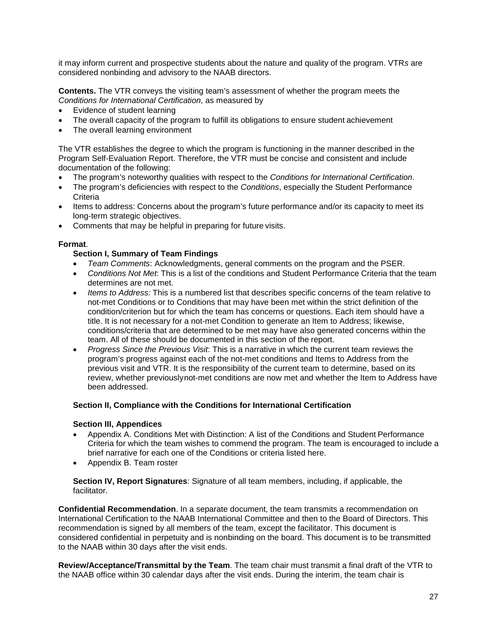it may inform current and prospective students about the nature and quality of the program. VTR*s* are considered nonbinding and advisory to the NAAB directors.

**Contents.** The VTR conveys the visiting team's assessment of whether the program meets the *Conditions for International Certification*, as measured by

- Evidence of student learning
- The overall capacity of the program to fulfill its obligations to ensure student achievement
- The overall learning environment

The VTR establishes the degree to which the program is functioning in the manner described in the Program Self-Evaluation Report. Therefore, the VTR must be concise and consistent and include documentation of the following:

- The program's noteworthy qualities with respect to the *Conditions for International Certification*.
- The program's deficiencies with respect to the *Conditions*, especially the Student Performance **Criteria**
- Items to address: Concerns about the program's future performance and/or its capacity to meet its long-term strategic objectives.
- Comments that may be helpful in preparing for future visits.

#### **Format**.

#### **Section I, Summary of Team Findings**

- *Team Comments*: Acknowledgments, general comments on the program and the PSER.
- *Conditions Not Met*: This is a list of the conditions and Student Performance Criteria that the team determines are not met.
- *Items to Address:* This is a numbered list that describes specific concerns of the team relative to not-met Conditions or to Conditions that may have been met within the strict definition of the condition/criterion but for which the team has concerns or questions. Each item should have a title. It is not necessary for a not-met Condition to generate an Item to Address; likewise, conditions/criteria that are determined to be met may have also generated concerns within the team. All of these should be documented in this section of the report.
- *Progress Since the Previous Visit*: This is a narrative in which the current team reviews the program's progress against each of the not-met conditions and Items to Address from the previous visit and VTR. It is the responsibility of the current team to determine, based on its review, whether previouslynot-met conditions are now met and whether the Item to Address have been addressed.

#### **Section II, Compliance with the Conditions for International Certification**

#### **Section III, Appendices**

- Appendix A. Conditions Met with Distinction: A list of the Conditions and Student Performance Criteria for which the team wishes to commend the program. The team is encouraged to include a brief narrative for each one of the Conditions or criteria listed here.
- Appendix B. Team roster

**Section IV, Report Signatures**: Signature of all team members, including, if applicable, the facilitator.

**Confidential Recommendation**. In a separate document, the team transmits a recommendation on International Certification to the NAAB International Committee and then to the Board of Directors. This recommendation is signed by all members of the team, except the facilitator. This document is considered confidential in perpetuity and is nonbinding on the board. This document is to be transmitted to the NAAB within 30 days after the visit ends.

**Review/Acceptance/Transmittal by the Team**. The team chair must transmit a final draft of the VTR to the NAAB office within 30 calendar days after the visit ends. During the interim, the team chair is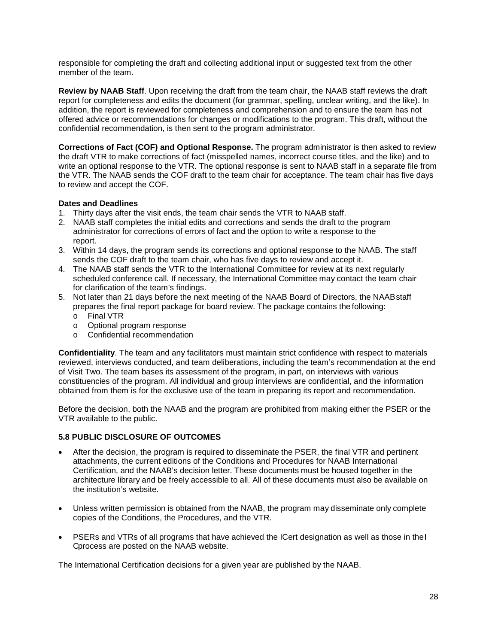responsible for completing the draft and collecting additional input or suggested text from the other member of the team.

**Review by NAAB Staff**. Upon receiving the draft from the team chair, the NAAB staff reviews the draft report for completeness and edits the document (for grammar, spelling, unclear writing, and the like). In addition, the report is reviewed for completeness and comprehension and to ensure the team has not offered advice or recommendations for changes or modifications to the program. This draft, without the confidential recommendation, is then sent to the program administrator.

**Corrections of Fact (COF) and Optional Response.** The program administrator is then asked to review the draft VTR to make corrections of fact (misspelled names, incorrect course titles, and the like) and to write an optional response to the VTR. The optional response is sent to NAAB staff in a separate file from the VTR. The NAAB sends the COF draft to the team chair for acceptance. The team chair has five days to review and accept the COF.

#### **Dates and Deadlines**

- 1. Thirty days after the visit ends, the team chair sends the VTR to NAAB staff.
- 2. NAAB staff completes the initial edits and corrections and sends the draft to the program administrator for corrections of errors of fact and the option to write a response to the report.
- 3. Within 14 days, the program sends its corrections and optional response to the NAAB. The staff sends the COF draft to the team chair, who has five days to review and accept it.
- 4. The NAAB staff sends the VTR to the International Committee for review at its next regularly scheduled conference call. If necessary, the International Committee may contact the team chair for clarification of the team's findings.
- 5. Not later than 21 days before the next meeting of the NAAB Board of Directors, the NAABstaff prepares the final report package for board review. The package contains the following:
	- o Final VTR
	- o Optional program response
	- o Confidential recommendation

**Confidentiality**. The team and any facilitators must maintain strict confidence with respect to materials reviewed, interviews conducted, and team deliberations, including the team's recommendation at the end of Visit Two. The team bases its assessment of the program, in part, on interviews with various constituencies of the program. All individual and group interviews are confidential, and the information obtained from them is for the exclusive use of the team in preparing its report and recommendation.

Before the decision, both the NAAB and the program are prohibited from making either the PSER or the VTR available to the public.

#### <span id="page-31-0"></span>**5.8 PUBLIC DISCLOSURE OF OUTCOMES**

- After the decision, the program is required to disseminate the PSER, the final VTR and pertinent attachments, the current editions of the Conditions and Procedures for NAAB International Certification, and the NAAB's decision letter. These documents must be housed together in the architecture library and be freely accessible to all. All of these documents must also be available on the institution's website.
- Unless written permission is obtained from the NAAB, the program may disseminate only complete copies of the Conditions, the Procedures, and the VTR.
- PSERs and VTRs of all programs that have achieved the ICert designation as well as those in the I Cprocess are posted on the NAAB website.

The International Certification decisions for a given year are published by the NAAB.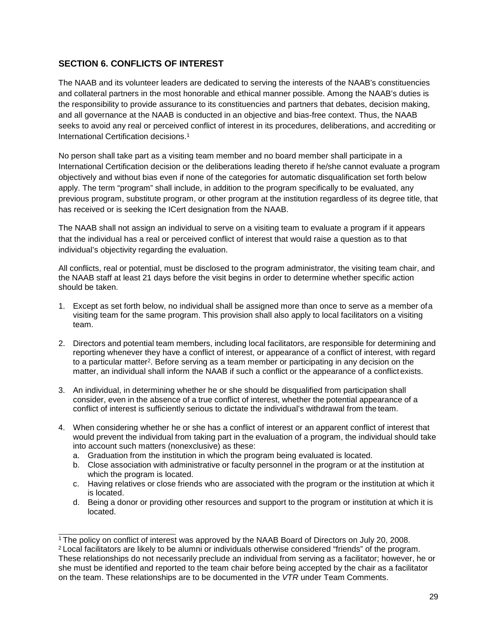# <span id="page-32-0"></span>**SECTION 6. CONFLICTS OF INTEREST**

The NAAB and its volunteer leaders are dedicated to serving the interests of the NAAB's constituencies and collateral partners in the most honorable and ethical manner possible. Among the NAAB's duties is the responsibility to provide assurance to its constituencies and partners that debates, decision making, and all governance at the NAAB is conducted in an objective and bias-free context. Thus, the NAAB seeks to avoid any real or perceived conflict of interest in its procedures, deliberations, and accrediting or International Certification decisions[.1](#page-32-1)

No person shall take part as a visiting team member and no board member shall participate in a International Certification decision or the deliberations leading thereto if he/she cannot evaluate a program objectively and without bias even if none of the categories for automatic disqualification set forth below apply. The term "program" shall include, in addition to the program specifically to be evaluated, any previous program, substitute program, or other program at the institution regardless of its degree title, that has received or is seeking the ICert designation from the NAAB.

The NAAB shall not assign an individual to serve on a visiting team to evaluate a program if it appears that the individual has a real or perceived conflict of interest that would raise a question as to that individual's objectivity regarding the evaluation.

All conflicts, real or potential, must be disclosed to the program administrator, the visiting team chair, and the NAAB staff at least 21 days before the visit begins in order to determine whether specific action should be taken.

- 1. Except as set forth below, no individual shall be assigned more than once to serve as a member ofa visiting team for the same program. This provision shall also apply to local facilitators on a visiting team.
- 2. Directors and potential team members, including local facilitators, are responsible for determining and reporting whenever they have a conflict of interest, or appearance of a conflict of interest, with regard to a particular matte[r2.](#page-32-2) Before serving as a team member or participating in any decision on the matter, an individual shall inform the NAAB if such a conflict or the appearance of a conflictexists.
- 3. An individual, in determining whether he or she should be disqualified from participation shall consider, even in the absence of a true conflict of interest, whether the potential appearance of a conflict of interest is sufficiently serious to dictate the individual's withdrawal from the team.
- 4. When considering whether he or she has a conflict of interest or an apparent conflict of interest that would prevent the individual from taking part in the evaluation of a program, the individual should take into account such matters (nonexclusive) as these:
	- a. Graduation from the institution in which the program being evaluated is located.
	- b. Close association with administrative or faculty personnel in the program or at the institution at which the program is located.
	- c. Having relatives or close friends who are associated with the program or the institution at which it is located.
	- d. Being a donor or providing other resources and support to the program or institution at which it is located.

<span id="page-32-1"></span><sup>1</sup> The policy on conflict of interest was approved by the NAAB Board of Directors on July 20, 2008.

<span id="page-32-2"></span><sup>&</sup>lt;sup>2</sup> Local facilitators are likely to be alumni or individuals otherwise considered "friends" of the program. These relationships do not necessarily preclude an individual from serving as a facilitator; however, he or she must be identified and reported to the team chair before being accepted by the chair as a facilitator on the team. These relationships are to be documented in the *VTR* under Team Comments.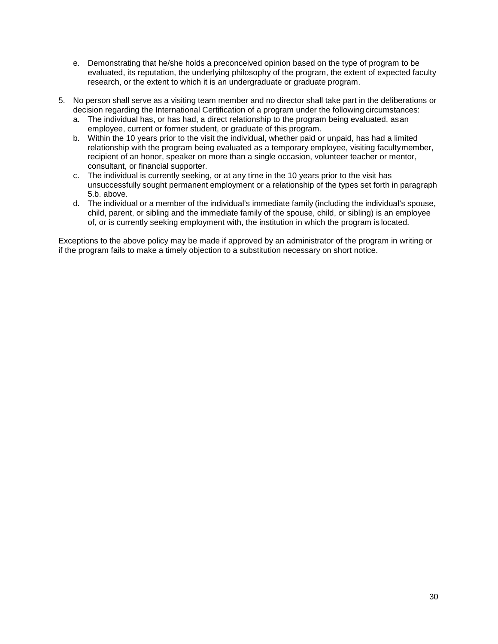- e. Demonstrating that he/she holds a preconceived opinion based on the type of program to be evaluated, its reputation, the underlying philosophy of the program, the extent of expected faculty research, or the extent to which it is an undergraduate or graduate program.
- 5. No person shall serve as a visiting team member and no director shall take part in the deliberations or decision regarding the International Certification of a program under the following circumstances:
	- a. The individual has, or has had, a direct relationship to the program being evaluated, asan employee, current or former student, or graduate of this program.
	- b. Within the 10 years prior to the visit the individual, whether paid or unpaid, has had a limited relationship with the program being evaluated as a temporary employee, visiting facultymember, recipient of an honor, speaker on more than a single occasion, volunteer teacher or mentor, consultant, or financial supporter.
	- c. The individual is currently seeking, or at any time in the 10 years prior to the visit has unsuccessfully sought permanent employment or a relationship of the types set forth in paragraph 5.b. above.
	- d. The individual or a member of the individual's immediate family (including the individual's spouse, child, parent, or sibling and the immediate family of the spouse, child, or sibling) is an employee of, or is currently seeking employment with, the institution in which the program is located.

Exceptions to the above policy may be made if approved by an administrator of the program in writing or if the program fails to make a timely objection to a substitution necessary on short notice.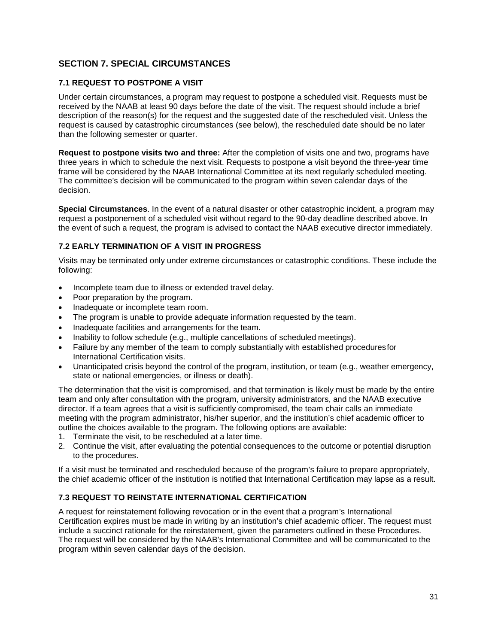# <span id="page-34-0"></span>**SECTION 7. SPECIAL CIRCUMSTANCES**

#### <span id="page-34-1"></span>**7.1 REQUEST TO POSTPONE A VISIT**

Under certain circumstances, a program may request to postpone a scheduled visit. Requests must be received by the NAAB at least 90 days before the date of the visit. The request should include a brief description of the reason(s) for the request and the suggested date of the rescheduled visit. Unless the request is caused by catastrophic circumstances (see below), the rescheduled date should be no later than the following semester or quarter.

**Request to postpone visits two and three:** After the completion of visits one and two, programs have three years in which to schedule the next visit. Requests to postpone a visit beyond the three-year time frame will be considered by the NAAB International Committee at its next regularly scheduled meeting. The committee's decision will be communicated to the program within seven calendar days of the decision.

**Special Circumstances**. In the event of a natural disaster or other catastrophic incident, a program may request a postponement of a scheduled visit without regard to the 90-day deadline described above. In the event of such a request, the program is advised to contact the NAAB executive director immediately.

#### <span id="page-34-2"></span>**7.2 EARLY TERMINATION OF A VISIT IN PROGRESS**

Visits may be terminated only under extreme circumstances or catastrophic conditions. These include the following:

- Incomplete team due to illness or extended travel delay.
- Poor preparation by the program.
- Inadequate or incomplete team room.
- The program is unable to provide adequate information requested by the team.
- Inadequate facilities and arrangements for the team.
- Inability to follow schedule (e.g., multiple cancellations of scheduled meetings).
- Failure by any member of the team to comply substantially with established proceduresfor International Certification visits.
- Unanticipated crisis beyond the control of the program, institution, or team (e.g., weather emergency, state or national emergencies, or illness or death).

The determination that the visit is compromised, and that termination is likely must be made by the entire team and only after consultation with the program, university administrators, and the NAAB executive director. If a team agrees that a visit is sufficiently compromised, the team chair calls an immediate meeting with the program administrator, his/her superior, and the institution's chief academic officer to outline the choices available to the program. The following options are available:

- 1. Terminate the visit, to be rescheduled at a later time.
- 2. Continue the visit, after evaluating the potential consequences to the outcome or potential disruption to the procedures.

If a visit must be terminated and rescheduled because of the program's failure to prepare appropriately, the chief academic officer of the institution is notified that International Certification may lapse as a result.

#### <span id="page-34-3"></span>**7.3 REQUEST TO REINSTATE INTERNATIONAL CERTIFICATION**

A request for reinstatement following revocation or in the event that a program's International Certification expires must be made in writing by an institution's chief academic officer. The request must include a succinct rationale for the reinstatement, given the parameters outlined in these Procedures. The request will be considered by the NAAB's International Committee and will be communicated to the program within seven calendar days of the decision.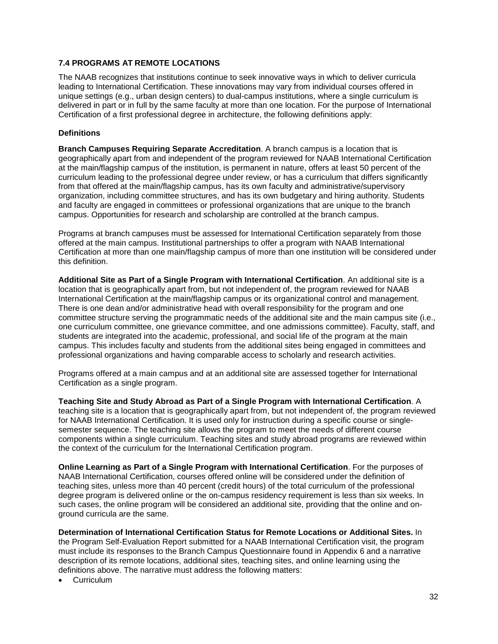#### <span id="page-35-0"></span>**7.4 PROGRAMS AT REMOTE LOCATIONS**

The NAAB recognizes that institutions continue to seek innovative ways in which to deliver curricula leading to International Certification. These innovations may vary from individual courses offered in unique settings (e.g., urban design centers) to dual-campus institutions, where a single curriculum is delivered in part or in full by the same faculty at more than one location. For the purpose of International Certification of a first professional degree in architecture, the following definitions apply:

#### **Definitions**

**Branch Campuses Requiring Separate Accreditation**. A branch campus is a location that is geographically apart from and independent of the program reviewed for NAAB International Certification at the main/flagship campus of the institution, is permanent in nature, offers at least 50 percent of the curriculum leading to the professional degree under review, or has a curriculum that differs significantly from that offered at the main/flagship campus, has its own faculty and administrative/supervisory organization, including committee structures, and has its own budgetary and hiring authority. Students and faculty are engaged in committees or professional organizations that are unique to the branch campus. Opportunities for research and scholarship are controlled at the branch campus.

Programs at branch campuses must be assessed for International Certification separately from those offered at the main campus. Institutional partnerships to offer a program with NAAB International Certification at more than one main/flagship campus of more than one institution will be considered under this definition.

**Additional Site as Part of a Single Program with International Certification**. An additional site is a location that is geographically apart from, but not independent of, the program reviewed for NAAB International Certification at the main/flagship campus or its organizational control and management. There is one dean and/or administrative head with overall responsibility for the program and one committee structure serving the programmatic needs of the additional site and the main campus site (i.e., one curriculum committee, one grievance committee, and one admissions committee). Faculty, staff, and students are integrated into the academic, professional, and social life of the program at the main campus. This includes faculty and students from the additional sites being engaged in committees and professional organizations and having comparable access to scholarly and research activities.

Programs offered at a main campus and at an additional site are assessed together for International Certification as a single program.

**Teaching Site and Study Abroad as Part of a Single Program with International Certification**. A teaching site is a location that is geographically apart from, but not independent of, the program reviewed for NAAB International Certification. It is used only for instruction during a specific course or singlesemester sequence. The teaching site allows the program to meet the needs of different course components within a single curriculum. Teaching sites and study abroad programs are reviewed within the context of the curriculum for the International Certification program.

**Online Learning as Part of a Single Program with International Certification**. For the purposes of NAAB International Certification, courses offered online will be considered under the definition of teaching sites, unless more than 40 percent (credit hours) of the total curriculum of the professional degree program is delivered online or the on-campus residency requirement is less than six weeks. In such cases, the online program will be considered an additional site, providing that the online and onground curricula are the same.

**Determination of International Certification Status for Remote Locations or Additional Sites.** In the Program Self-Evaluation Report submitted for a NAAB International Certification visit, the program must include its responses to the Branch Campus Questionnaire found in Appendix 6 and a narrative description of its remote locations, additional sites, teaching sites, and online learning using the definitions above. The narrative must address the following matters:

**Curriculum**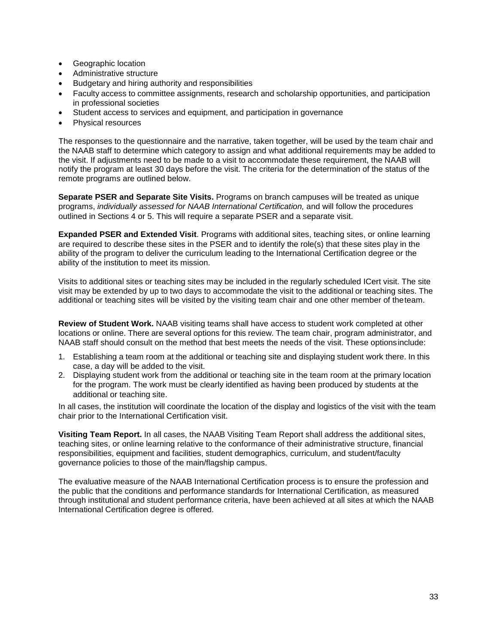- Geographic location
- Administrative structure
- Budgetary and hiring authority and responsibilities
- Faculty access to committee assignments, research and scholarship opportunities, and participation in professional societies
- Student access to services and equipment, and participation in governance
- Physical resources

The responses to the questionnaire and the narrative, taken together, will be used by the team chair and the NAAB staff to determine which category to assign and what additional requirements may be added to the visit. If adjustments need to be made to a visit to accommodate these requirement, the NAAB will notify the program at least 30 days before the visit. The criteria for the determination of the status of the remote programs are outlined below.

**Separate PSER and Separate Site Visits.** Programs on branch campuses will be treated as unique programs, *individually assessed for NAAB International Certification,* and will follow the procedures outlined in Sections 4 or 5. This will require a separate PSER and a separate visit.

**Expanded PSER and Extended Visit**. Programs with additional sites, teaching sites, or online learning are required to describe these sites in the PSER and to identify the role(s) that these sites play in the ability of the program to deliver the curriculum leading to the International Certification degree or the ability of the institution to meet its mission.

Visits to additional sites or teaching sites may be included in the regularly scheduled ICert visit. The site visit may be extended by up to two days to accommodate the visit to the additional or teaching sites. The additional or teaching sites will be visited by the visiting team chair and one other member of theteam.

**Review of Student Work.** NAAB visiting teams shall have access to student work completed at other locations or online. There are several options for this review. The team chair, program administrator, and NAAB staff should consult on the method that best meets the needs of the visit. These optionsinclude:

- 1. Establishing a team room at the additional or teaching site and displaying student work there. In this case, a day will be added to the visit.
- 2. Displaying student work from the additional or teaching site in the team room at the primary location for the program. The work must be clearly identified as having been produced by students at the additional or teaching site.

In all cases, the institution will coordinate the location of the display and logistics of the visit with the team chair prior to the International Certification visit.

**Visiting Team Report.** In all cases, the NAAB Visiting Team Report shall address the additional sites, teaching sites, or online learning relative to the conformance of their administrative structure, financial responsibilities, equipment and facilities, student demographics, curriculum, and student/faculty governance policies to those of the main/flagship campus.

The evaluative measure of the NAAB International Certification process is to ensure the profession and the public that the conditions and performance standards for International Certification, as measured through institutional and student performance criteria, have been achieved at all sites at which the NAAB International Certification degree is offered.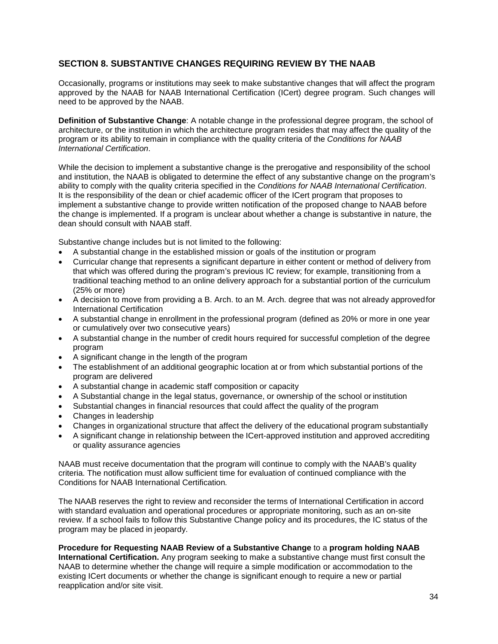# <span id="page-37-0"></span>**SECTION 8. SUBSTANTIVE CHANGES REQUIRING REVIEW BY THE NAAB**

Occasionally, programs or institutions may seek to make substantive changes that will affect the program approved by the NAAB for NAAB International Certification (ICert) degree program. Such changes will need to be approved by the NAAB.

**Definition of Substantive Change**: A notable change in the professional degree program, the school of architecture, or the institution in which the architecture program resides that may affect the quality of the program or its ability to remain in compliance with the quality criteria of the *Conditions for NAAB International Certification*.

While the decision to implement a substantive change is the prerogative and responsibility of the school and institution, the NAAB is obligated to determine the effect of any substantive change on the program's ability to comply with the quality criteria specified in the *Conditions for NAAB International Certification*. It is the responsibility of the dean or chief academic officer of the ICert program that proposes to implement a substantive change to provide written notification of the proposed change to NAAB before the change is implemented. If a program is unclear about whether a change is substantive in nature, the dean should consult with NAAB staff.

Substantive change includes but is not limited to the following:

- A substantial change in the established mission or goals of the institution or program
- Curricular change that represents a significant departure in either content or method of delivery from that which was offered during the program's previous IC review; for example, transitioning from a traditional teaching method to an online delivery approach for a substantial portion of the curriculum (25% or more)
- A decision to move from providing a B. Arch. to an M. Arch. degree that was not already approvedfor International Certification
- A substantial change in enrollment in the professional program (defined as 20% or more in one year or cumulatively over two consecutive years)
- A substantial change in the number of credit hours required for successful completion of the degree program
- A significant change in the length of the program
- The establishment of an additional geographic location at or from which substantial portions of the program are delivered
- A substantial change in academic staff composition or capacity
- A Substantial change in the legal status, governance, or ownership of the school or institution
- Substantial changes in financial resources that could affect the quality of the program
- Changes in leadership
- Changes in organizational structure that affect the delivery of the educational program substantially
- A significant change in relationship between the ICert-approved institution and approved accrediting or quality assurance agencies

NAAB must receive documentation that the program will continue to comply with the NAAB's quality criteria. The notification must allow sufficient time for evaluation of continued compliance with the Conditions for NAAB International Certification*.*

The NAAB reserves the right to review and reconsider the terms of International Certification in accord with standard evaluation and operational procedures or appropriate monitoring, such as an on-site review. If a school fails to follow this Substantive Change policy and its procedures, the IC status of the program may be placed in jeopardy.

#### **Procedure for Requesting NAAB Review of a Substantive Change** to a **program holding NAAB**

**International Certification.** Any program seeking to make a substantive change must first consult the NAAB to determine whether the change will require a simple modification or accommodation to the existing ICert documents or whether the change is significant enough to require a new or partial reapplication and/or site visit.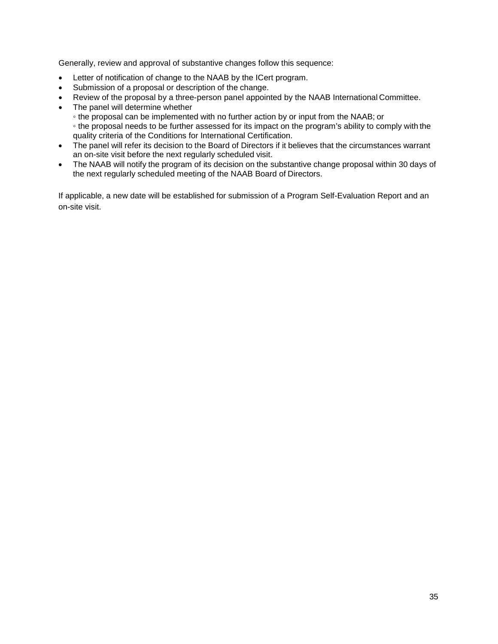Generally, review and approval of substantive changes follow this sequence:

- Letter of notification of change to the NAAB by the ICert program.
- Submission of a proposal or description of the change.
- Review of the proposal by a three-person panel appointed by the NAAB International Committee.
- The panel will determine whether
	- the proposal can be implemented with no further action by or input from the NAAB; or
	- the proposal needs to be further assessed for its impact on the program's ability to comply with the quality criteria of the Conditions for International Certification.
- The panel will refer its decision to the Board of Directors if it believes that the circumstances warrant an on-site visit before the next regularly scheduled visit.
- The NAAB will notify the program of its decision on the substantive change proposal within 30 days of the next regularly scheduled meeting of the NAAB Board of Directors.

If applicable, a new date will be established for submission of a Program Self-Evaluation Report and an on-site visit.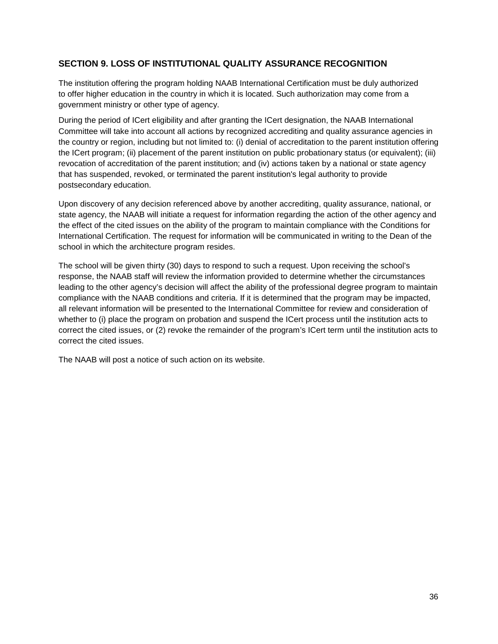# <span id="page-39-0"></span>**SECTION 9. LOSS OF INSTITUTIONAL QUALITY ASSURANCE RECOGNITION**

The institution offering the program holding NAAB International Certification must be duly authorized to offer higher education in the country in which it is located. Such authorization may come from a government ministry or other type of agency.

During the period of ICert eligibility and after granting the ICert designation, the NAAB International Committee will take into account all actions by recognized accrediting and quality assurance agencies in the country or region, including but not limited to: (i) denial of accreditation to the parent institution offering the ICert program; (ii) placement of the parent institution on public probationary status (or equivalent); (iii) revocation of accreditation of the parent institution; and (iv) actions taken by a national or state agency that has suspended, revoked, or terminated the parent institution's legal authority to provide postsecondary education.

Upon discovery of any decision referenced above by another accrediting, quality assurance, national, or state agency, the NAAB will initiate a request for information regarding the action of the other agency and the effect of the cited issues on the ability of the program to maintain compliance with the Conditions for International Certification. The request for information will be communicated in writing to the Dean of the school in which the architecture program resides.

The school will be given thirty (30) days to respond to such a request. Upon receiving the school's response, the NAAB staff will review the information provided to determine whether the circumstances leading to the other agency's decision will affect the ability of the professional degree program to maintain compliance with the NAAB conditions and criteria. If it is determined that the program may be impacted, all relevant information will be presented to the International Committee for review and consideration of whether to (i) place the program on probation and suspend the ICert process until the institution acts to correct the cited issues, or (2) revoke the remainder of the program's ICert term until the institution acts to correct the cited issues.

The NAAB will post a notice of such action on its website.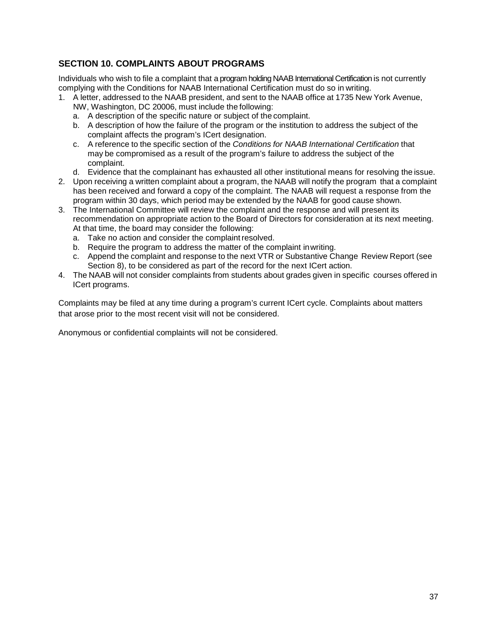# <span id="page-40-0"></span>**SECTION 10. COMPLAINTS ABOUT PROGRAMS**

Individuals who wish to file a complaint that a program holding NAAB International Certification is not currently complying with the Conditions for NAAB International Certification must do so in writing.

- 1. A letter, addressed to the NAAB president, and sent to the NAAB office at 1735 New York Avenue, NW, Washington, DC 20006, must include the following:
	- a. A description of the specific nature or subject of the complaint.
	- b. A description of how the failure of the program or the institution to address the subject of the complaint affects the program's ICert designation.
	- c. A reference to the specific section of the *Conditions for NAAB International Certification* that may be compromised as a result of the program's failure to address the subject of the complaint.
	- d. Evidence that the complainant has exhausted all other institutional means for resolving the issue.
- 2. Upon receiving a written complaint about a program, the NAAB will notify the program that a complaint has been received and forward a copy of the complaint. The NAAB will request a response from the program within 30 days, which period may be extended by the NAAB for good cause shown.
- 3. The International Committee will review the complaint and the response and will present its recommendation on appropriate action to the Board of Directors for consideration at its next meeting. At that time, the board may consider the following:
	- a. Take no action and consider the complaint resolved.
	- b. Require the program to address the matter of the complaint inwriting.
	- c. Append the complaint and response to the next VTR or Substantive Change Review Report (see Section 8), to be considered as part of the record for the next ICert action.
- 4. The NAAB will not consider complaints from students about grades given in specific courses offered in ICert programs.

Complaints may be filed at any time during a program's current ICert cycle. Complaints about matters that arose prior to the most recent visit will not be considered.

Anonymous or confidential complaints will not be considered.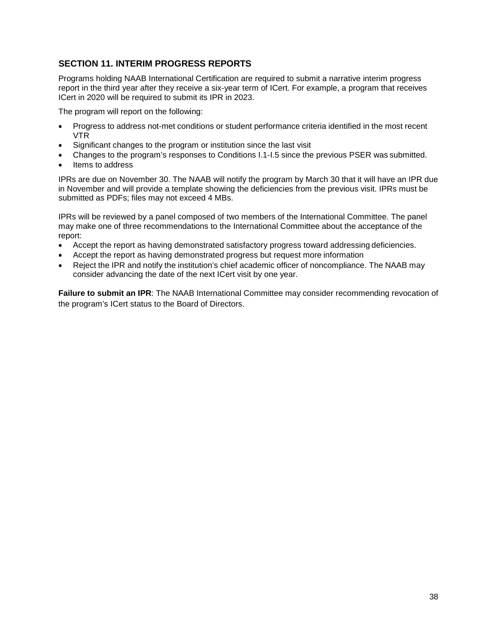# <span id="page-41-0"></span>**SECTION 11. INTERIM PROGRESS REPORTS**

Programs holding NAAB International Certification are required to submit a narrative interim progress report in the third year after they receive a six-year term of ICert. For example, a program that receives ICert in 2020 will be required to submit its IPR in 2023.

The program will report on the following:

- Progress to address not-met conditions or student performance criteria identified in the most recent VTR
- Significant changes to the program or institution since the last visit
- Changes to the program's responses to Conditions I.1-I.5 since the previous PSER was submitted.
- Items to address

IPRs are due on November 30. The NAAB will notify the program by March 30 that it will have an IPR due in November and will provide a template showing the deficiencies from the previous visit. IPRs must be submitted as PDFs; files may not exceed 4 MBs.

IPRs will be reviewed by a panel composed of two members of the International Committee. The panel may make one of three recommendations to the International Committee about the acceptance of the report:

- Accept the report as having demonstrated satisfactory progress toward addressing deficiencies.
- Accept the report as having demonstrated progress but request more information
- Reject the IPR and notify the institution's chief academic officer of noncompliance. The NAAB may consider advancing the date of the next ICert visit by one year.

**Failure to submit an IPR**: The NAAB International Committee may consider recommending revocation of the program's ICert status to the Board of Directors.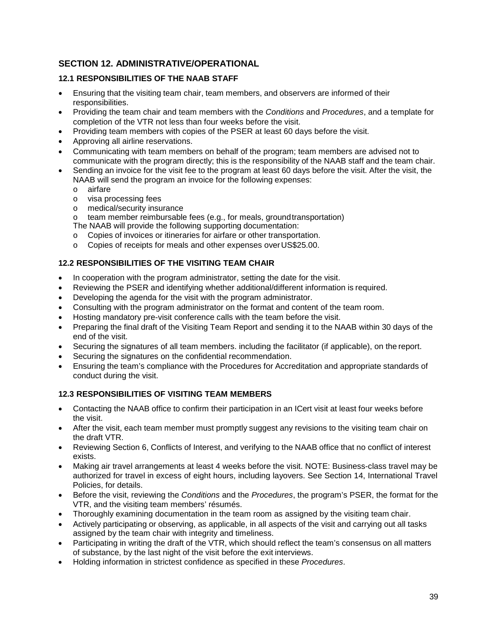# <span id="page-42-0"></span>**SECTION 12. ADMINISTRATIVE/OPERATIONAL**

#### <span id="page-42-1"></span>**12.1 RESPONSIBILITIES OF THE NAAB STAFF**

- Ensuring that the visiting team chair, team members, and observers are informed of their responsibilities.
- Providing the team chair and team members with the *Conditions* and *Procedures*, and a template for completion of the VTR not less than four weeks before the visit.
- Providing team members with copies of the PSER at least 60 days before the visit.
- Approving all airline reservations.
- Communicating with team members on behalf of the program; team members are advised not to communicate with the program directly; this is the responsibility of the NAAB staff and the team chair.
- Sending an invoice for the visit fee to the program at least 60 days before the visit. After the visit, the NAAB will send the program an invoice for the following expenses:
	- o airfare
	- o visa processing fees
	- o medical/security insurance
	- o team member reimbursable fees (e.g., for meals, groundtransportation)
	- The NAAB will provide the following supporting documentation:
	- o Copies of invoices or itineraries for airfare or other transportation.
	- o Copies of receipts for meals and other expenses overUS\$25.00.

#### <span id="page-42-2"></span>**12.2 RESPONSIBILITIES OF THE VISITING TEAM CHAIR**

- In cooperation with the program administrator, setting the date for the visit.
- Reviewing the PSER and identifying whether additional/different information is required.
- Developing the agenda for the visit with the program administrator.
- Consulting with the program administrator on the format and content of the team room.
- Hosting mandatory pre-visit conference calls with the team before the visit.
- Preparing the final draft of the Visiting Team Report and sending it to the NAAB within 30 days of the end of the visit.
- Securing the signatures of all team members. including the facilitator (if applicable), on the report.
- Securing the signatures on the confidential recommendation.
- Ensuring the team's compliance with the Procedures for Accreditation and appropriate standards of conduct during the visit.

#### <span id="page-42-3"></span>**12.3 RESPONSIBILITIES OF VISITING TEAM MEMBERS**

- Contacting the NAAB office to confirm their participation in an ICert visit at least four weeks before the visit.
- After the visit, each team member must promptly suggest any revisions to the visiting team chair on the draft VTR.
- Reviewing Section 6, Conflicts of Interest, and verifying to the NAAB office that no conflict of interest exists.
- Making air travel arrangements at least 4 weeks before the visit. NOTE: Business-class travel may be authorized for travel in excess of eight hours, including layovers. See Section 14, International Travel Policies, for details.
- Before the visit, reviewing the *Conditions* and the *Procedures*, the program's PSER, the format for the VTR, and the visiting team members' résumés.
- Thoroughly examining documentation in the team room as assigned by the visiting team chair.
- Actively participating or observing, as applicable, in all aspects of the visit and carrying out all tasks assigned by the team chair with integrity and timeliness.
- Participating in writing the draft of the VTR, which should reflect the team's consensus on all matters of substance, by the last night of the visit before the exit interviews.
- Holding information in strictest confidence as specified in these *Procedures*.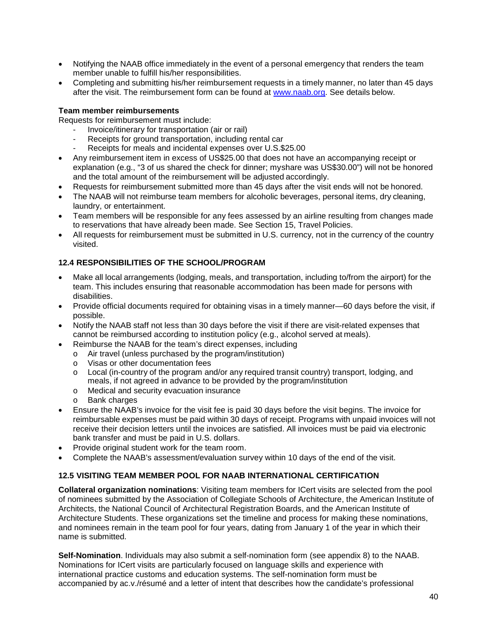- Notifying the NAAB office immediately in the event of a personal emergency that renders the team member unable to fulfill his/her responsibilities.
- Completing and submitting his/her reimbursement requests in a timely manner, no later than 45 days after the visit. The reimbursement form can be found at [www.naab.org. S](http://www.naab.org/)ee details below.

#### **Team member reimbursements**

Requests for reimbursement must include:

- Invoice/itinerary for transportation (air or rail)
- Receipts for ground transportation, including rental car
- Receipts for meals and incidental expenses over U.S.\$25.00
- Any reimbursement item in excess of US\$25.00 that does not have an accompanying receipt or explanation (e.g., "3 of us shared the check for dinner; myshare was US\$30.00") will not be honored and the total amount of the reimbursement will be adjusted accordingly.
- Requests for reimbursement submitted more than 45 days after the visit ends will not be honored.
- The NAAB will not reimburse team members for alcoholic beverages, personal items, dry cleaning, laundry, or entertainment.
- Team members will be responsible for any fees assessed by an airline resulting from changes made to reservations that have already been made. See Section 15, Travel Policies.
- All requests for reimbursement must be submitted in U.S. currency, not in the currency of the country visited.

# <span id="page-43-0"></span>**12.4 RESPONSIBILITIES OF THE SCHOOL/PROGRAM**

- Make all local arrangements (lodging, meals, and transportation, including to/from the airport) for the team. This includes ensuring that reasonable accommodation has been made for persons with disabilities.
- Provide official documents required for obtaining visas in a timely manner—60 days before the visit, if possible.
- Notify the NAAB staff not less than 30 days before the visit if there are visit-related expenses that cannot be reimbursed according to institution policy (e.g., alcohol served at meals).
	- Reimburse the NAAB for the team's direct expenses, including
		- o Air travel (unless purchased by the program/institution)
		- o Visas or other documentation fees
		- o Local (in-country of the program and/or any required transit country) transport, lodging, and meals, if not agreed in advance to be provided by the program/institution
		- o Medical and security evacuation insurance
		- o Bank charges
- Ensure the NAAB's invoice for the visit fee is paid 30 days before the visit begins. The invoice for reimbursable expenses must be paid within 30 days of receipt. Programs with unpaid invoices will not receive their decision letters until the invoices are satisfied. All invoices must be paid via electronic bank transfer and must be paid in U.S. dollars.
- Provide original student work for the team room.
- Complete the NAAB's assessment/evaluation survey within 10 days of the end of the visit.

# <span id="page-43-1"></span>**12.5 VISITING TEAM MEMBER POOL FOR NAAB INTERNATIONAL CERTIFICATION**

**Collateral organization nominations**: Visiting team members for ICert visits are selected from the pool of nominees submitted by the Association of Collegiate Schools of Architecture, the American Institute of Architects, the National Council of Architectural Registration Boards, and the American Institute of Architecture Students. These organizations set the timeline and process for making these nominations, and nominees remain in the team pool for four years, dating from January 1 of the year in which their name is submitted.

**Self-Nomination**. Individuals may also submit a self-nomination form (see appendix 8) to the NAAB. Nominations for ICert visits are particularly focused on language skills and experience with international practice customs and education systems. The self-nomination form must be accompanied by ac.v./résumé and a letter of intent that describes how the candidate's professional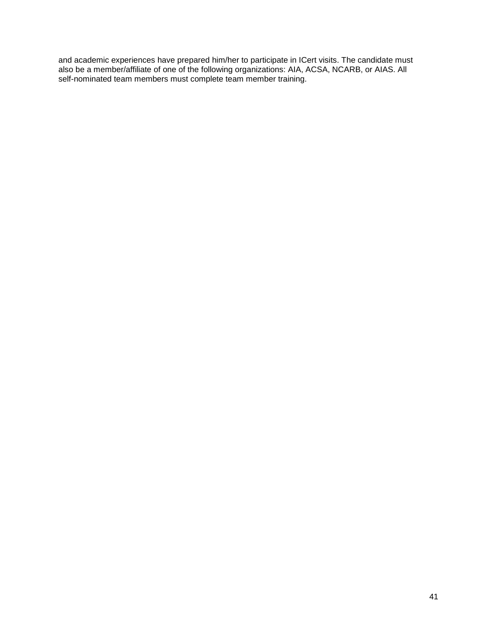and academic experiences have prepared him/her to participate in ICert visits. The candidate must also be a member/affiliate of one of the following organizations: AIA, ACSA, NCARB, or AIAS. All self-nominated team members must complete team member training.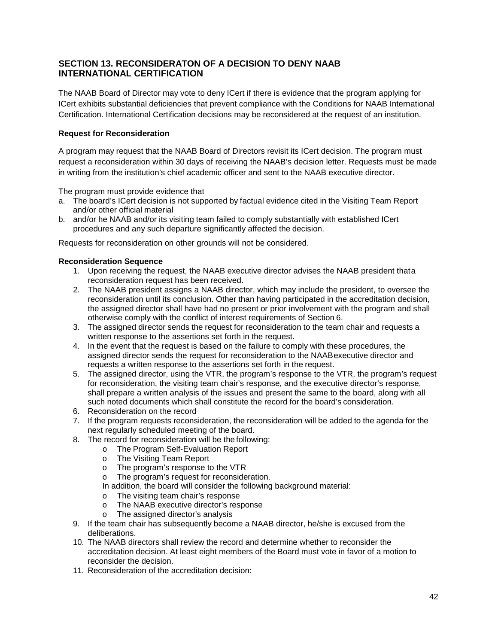# **SECTION 13. RECONSIDERATON OF A DECISION TO DENY NAAB INTERNATIONAL CERTIFICATION**

The NAAB Board of Director may vote to deny ICert if there is evidence that the program applying for ICert exhibits substantial deficiencies that prevent compliance with the Conditions for NAAB International Certification. International Certification decisions may be reconsidered at the request of an institution.

#### **Request for Reconsideration**

A program may request that the NAAB Board of Directors revisit its ICert decision. The program must request a reconsideration within 30 days of receiving the NAAB's decision letter. Requests must be made in writing from the institution's chief academic officer and sent to the NAAB executive director.

The program must provide evidence that

- a. The board's ICert decision is not supported by factual evidence cited in the Visiting Team Report and/or other official material
- b. and/or he NAAB and/or its visiting team failed to comply substantially with established ICert procedures and any such departure significantly affected the decision.

Requests for reconsideration on other grounds will not be considered.

#### **Reconsideration Sequence**

- 1. Upon receiving the request, the NAAB executive director advises the NAAB president thata reconsideration request has been received.
- 2. The NAAB president assigns a NAAB director, which may include the president, to oversee the reconsideration until its conclusion. Other than having participated in the accreditation decision, the assigned director shall have had no present or prior involvement with the program and shall otherwise comply with the conflict of interest requirements of Section 6.
- 3. The assigned director sends the request for reconsideration to the team chair and requests a written response to the assertions set forth in the request.
- 4. In the event that the request is based on the failure to comply with these procedures, the assigned director sends the request for reconsideration to the NAABexecutive director and requests a written response to the assertions set forth in the request.
- 5. The assigned director, using the VTR, the program's response to the VTR, the program's request for reconsideration, the visiting team chair's response, and the executive director's response, shall prepare a written analysis of the issues and present the same to the board, along with all such noted documents which shall constitute the record for the board's consideration.
- 6. Reconsideration on the record
- 7. If the program requests reconsideration, the reconsideration will be added to the agenda for the next regularly scheduled meeting of the board.
- 8. The record for reconsideration will be the following:
	- o The Program Self-Evaluation Report
	- o The Visiting Team Report
	- o The program's response to the VTR
	- o The program's request for reconsideration.
	- In addition, the board will consider the following background material:
	- o The visiting team chair's response
	- o The NAAB executive director's response
	- o The assigned director's analysis
- 9. If the team chair has subsequently become a NAAB director, he/she is excused from the deliberations.
- 10. The NAAB directors shall review the record and determine whether to reconsider the accreditation decision. At least eight members of the Board must vote in favor of a motion to reconsider the decision.
- 11. Reconsideration of the accreditation decision: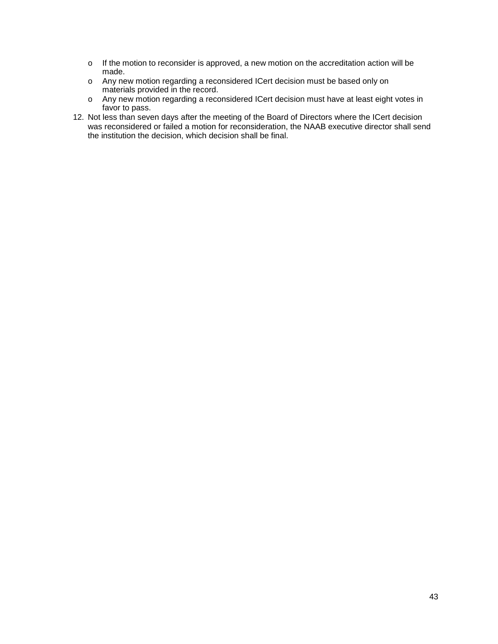- o If the motion to reconsider is approved, a new motion on the accreditation action will be made.
- o Any new motion regarding a reconsidered ICert decision must be based only on materials provided in the record.
- o Any new motion regarding a reconsidered ICert decision must have at least eight votes in favor to pass.
- 12. Not less than seven days after the meeting of the Board of Directors where the ICert decision was reconsidered or failed a motion for reconsideration, the NAAB executive director shall send the institution the decision, which decision shall be final.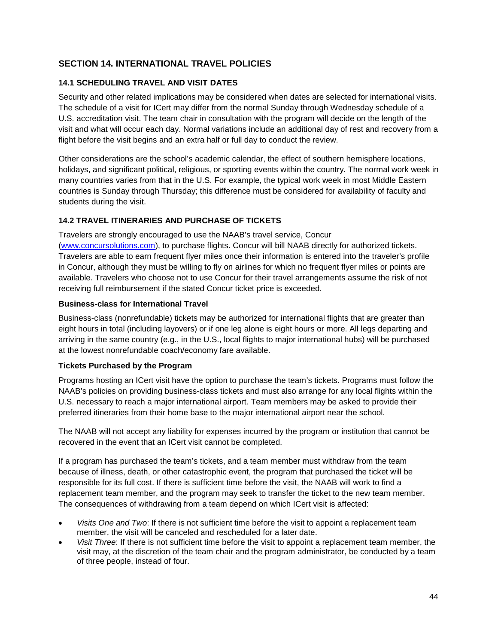# <span id="page-47-0"></span>**SECTION 14. INTERNATIONAL TRAVEL POLICIES**

#### <span id="page-47-1"></span>**14.1 SCHEDULING TRAVEL AND VISIT DATES**

Security and other related implications may be considered when dates are selected for international visits. The schedule of a visit for ICert may differ from the normal Sunday through Wednesday schedule of a U.S. accreditation visit. The team chair in consultation with the program will decide on the length of the visit and what will occur each day. Normal variations include an additional day of rest and recovery from a flight before the visit begins and an extra half or full day to conduct the review.

Other considerations are the school's academic calendar, the effect of southern hemisphere locations, holidays, and significant political, religious, or sporting events within the country. The normal work week in many countries varies from that in the U.S. For example, the typical work week in most Middle Eastern countries is Sunday through Thursday; this difference must be considered for availability of faculty and students during the visit.

#### <span id="page-47-2"></span>**14.2 TRAVEL ITINERARIES AND PURCHASE OF TICKETS**

Travelers are strongly encouraged to use the NAAB's travel service, Concur [\(www.concursolutions.com\)](http://www.concursolutions.com/), to purchase flights. Concur will bill NAAB directly for authorized tickets. Travelers are able to earn frequent flyer miles once their information is entered into the traveler's profile in Concur, although they must be willing to fly on airlines for which no frequent flyer miles or points are available. Travelers who choose not to use Concur for their travel arrangements assume the risk of not receiving full reimbursement if the stated Concur ticket price is exceeded.

#### **Business-class for International Travel**

Business-class (nonrefundable) tickets may be authorized for international flights that are greater than eight hours in total (including layovers) or if one leg alone is eight hours or more. All legs departing and arriving in the same country (e.g., in the U.S., local flights to major international hubs) will be purchased at the lowest nonrefundable coach/economy fare available.

#### **Tickets Purchased by the Program**

Programs hosting an ICert visit have the option to purchase the team's tickets. Programs must follow the NAAB's policies on providing business-class tickets and must also arrange for any local flights within the U.S. necessary to reach a major international airport. Team members may be asked to provide their preferred itineraries from their home base to the major international airport near the school.

The NAAB will not accept any liability for expenses incurred by the program or institution that cannot be recovered in the event that an ICert visit cannot be completed.

If a program has purchased the team's tickets, and a team member must withdraw from the team because of illness, death, or other catastrophic event, the program that purchased the ticket will be responsible for its full cost. If there is sufficient time before the visit, the NAAB will work to find a replacement team member, and the program may seek to transfer the ticket to the new team member. The consequences of withdrawing from a team depend on which ICert visit is affected:

- *Visits One and Two*: If there is not sufficient time before the visit to appoint a replacement team member, the visit will be canceled and rescheduled for a later date.
- *Visit Three*: If there is not sufficient time before the visit to appoint a replacement team member, the visit may, at the discretion of the team chair and the program administrator, be conducted by a team of three people, instead of four.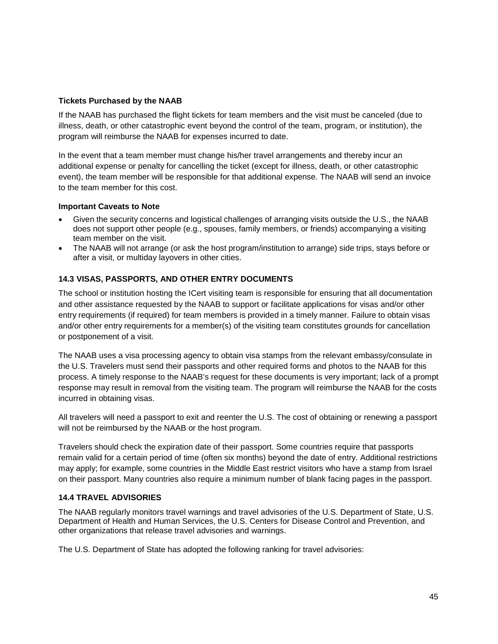#### **Tickets Purchased by the NAAB**

If the NAAB has purchased the flight tickets for team members and the visit must be canceled (due to illness, death, or other catastrophic event beyond the control of the team, program, or institution), the program will reimburse the NAAB for expenses incurred to date.

In the event that a team member must change his/her travel arrangements and thereby incur an additional expense or penalty for cancelling the ticket (except for illness, death, or other catastrophic event), the team member will be responsible for that additional expense. The NAAB will send an invoice to the team member for this cost.

#### **Important Caveats to Note**

- Given the security concerns and logistical challenges of arranging visits outside the U.S., the NAAB does not support other people (e.g., spouses, family members, or friends) accompanying a visiting team member on the visit.
- The NAAB will not arrange (or ask the host program/institution to arrange) side trips, stays before or after a visit, or multiday layovers in other cities.

#### <span id="page-48-0"></span>**14.3 VISAS, PASSPORTS, AND OTHER ENTRY DOCUMENTS**

The school or institution hosting the ICert visiting team is responsible for ensuring that all documentation and other assistance requested by the NAAB to support or facilitate applications for visas and/or other entry requirements (if required) for team members is provided in a timely manner. Failure to obtain visas and/or other entry requirements for a member(s) of the visiting team constitutes grounds for cancellation or postponement of a visit.

The NAAB uses a visa processing agency to obtain visa stamps from the relevant embassy/consulate in the U.S. Travelers must send their passports and other required forms and photos to the NAAB for this process. A timely response to the NAAB's request for these documents is very important; lack of a prompt response may result in removal from the visiting team. The program will reimburse the NAAB for the costs incurred in obtaining visas.

All travelers will need a passport to exit and reenter the U.S. The cost of obtaining or renewing a passport will not be reimbursed by the NAAB or the host program.

Travelers should check the expiration date of their passport. Some countries require that passports remain valid for a certain period of time (often six months) beyond the date of entry. Additional restrictions may apply; for example, some countries in the Middle East restrict visitors who have a stamp from Israel on their passport. Many countries also require a minimum number of blank facing pages in the passport.

#### <span id="page-48-1"></span>**14.4 TRAVEL ADVISORIES**

The NAAB regularly monitors travel warnings and travel advisories of the U.S. Department of State, U.S. Department of Health and Human Services, the U.S. Centers for Disease Control and Prevention, and other organizations that release travel advisories and warnings.

The U.S. Department of State has adopted the following ranking for travel advisories: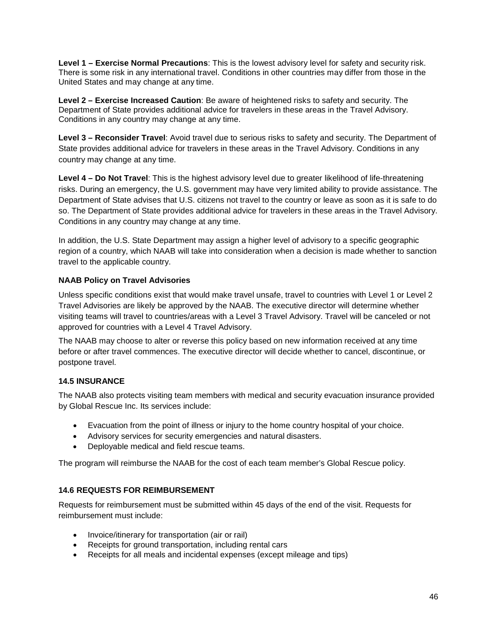**Level 1 – Exercise Normal Precautions**: This is the lowest advisory level for safety and security risk. There is some risk in any international travel. Conditions in other countries may differ from those in the United States and may change at any time.

**Level 2 – Exercise Increased Caution**: Be aware of heightened risks to safety and security. The Department of State provides additional advice for travelers in these areas in the Travel Advisory. Conditions in any country may change at any time.

**Level 3 – Reconsider Travel**: Avoid travel due to serious risks to safety and security. The Department of State provides additional advice for travelers in these areas in the Travel Advisory. Conditions in any country may change at any time.

**Level 4 – Do Not Travel**: This is the highest advisory level due to greater likelihood of life-threatening risks. During an emergency, the U.S. government may have very limited ability to provide assistance. The Department of State advises that U.S. citizens not travel to the country or leave as soon as it is safe to do so. The Department of State provides additional advice for travelers in these areas in the Travel Advisory. Conditions in any country may change at any time.

In addition, the U.S. State Department may assign a higher level of advisory to a specific geographic region of a country, which NAAB will take into consideration when a decision is made whether to sanction travel to the applicable country.

#### **NAAB Policy on Travel Advisories**

Unless specific conditions exist that would make travel unsafe, travel to countries with Level 1 or Level 2 Travel Advisories are likely be approved by the NAAB. The executive director will determine whether visiting teams will travel to countries/areas with a Level 3 Travel Advisory. Travel will be canceled or not approved for countries with a Level 4 Travel Advisory.

The NAAB may choose to alter or reverse this policy based on new information received at any time before or after travel commences. The executive director will decide whether to cancel, discontinue, or postpone travel.

#### <span id="page-49-0"></span>**14.5 INSURANCE**

The NAAB also protects visiting team members with medical and security evacuation insurance provided by Global Rescue Inc. Its services include:

- Evacuation from the point of illness or injury to the home country hospital of your choice.
- Advisory services for security emergencies and natural disasters.
- Deployable medical and field rescue teams.

The program will reimburse the NAAB for the cost of each team member's Global Rescue policy.

#### <span id="page-49-1"></span>**14.6 REQUESTS FOR REIMBURSEMENT**

Requests for reimbursement must be submitted within 45 days of the end of the visit. Requests for reimbursement must include:

- Invoice/itinerary for transportation (air or rail)
- Receipts for ground transportation, including rental cars
- Receipts for all meals and incidental expenses (except mileage and tips)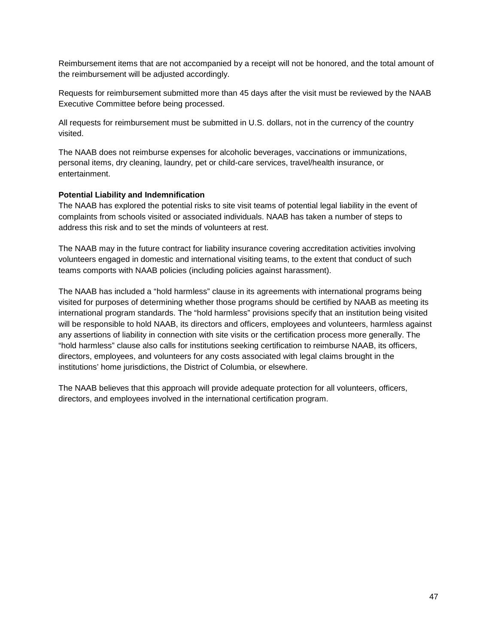Reimbursement items that are not accompanied by a receipt will not be honored, and the total amount of the reimbursement will be adjusted accordingly.

Requests for reimbursement submitted more than 45 days after the visit must be reviewed by the NAAB Executive Committee before being processed.

All requests for reimbursement must be submitted in U.S. dollars, not in the currency of the country visited.

The NAAB does not reimburse expenses for alcoholic beverages, vaccinations or immunizations, personal items, dry cleaning, laundry, pet or child-care services, travel/health insurance, or entertainment.

#### **Potential Liability and Indemnification**

The NAAB has explored the potential risks to site visit teams of potential legal liability in the event of complaints from schools visited or associated individuals. NAAB has taken a number of steps to address this risk and to set the minds of volunteers at rest.

The NAAB may in the future contract for liability insurance covering accreditation activities involving volunteers engaged in domestic and international visiting teams, to the extent that conduct of such teams comports with NAAB policies (including policies against harassment).

The NAAB has included a "hold harmless" clause in its agreements with international programs being visited for purposes of determining whether those programs should be certified by NAAB as meeting its international program standards. The "hold harmless" provisions specify that an institution being visited will be responsible to hold NAAB, its directors and officers, employees and volunteers, harmless against any assertions of liability in connection with site visits or the certification process more generally. The "hold harmless" clause also calls for institutions seeking certification to reimburse NAAB, its officers, directors, employees, and volunteers for any costs associated with legal claims brought in the institutions' home jurisdictions, the District of Columbia, or elsewhere.

The NAAB believes that this approach will provide adequate protection for all volunteers, officers, directors, and employees involved in the international certification program.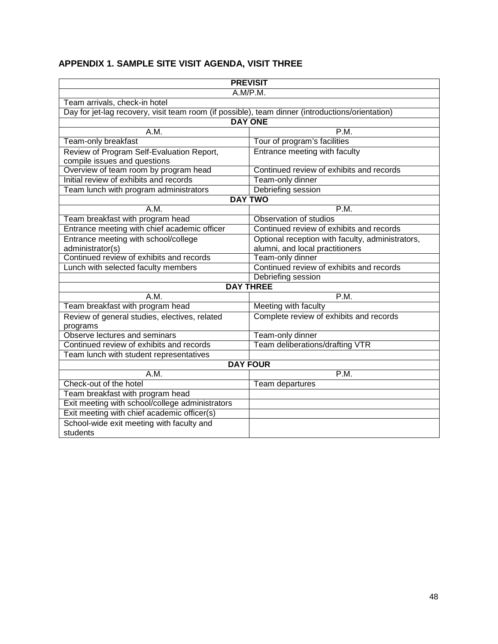# <span id="page-51-0"></span>**APPENDIX 1. SAMPLE SITE VISIT AGENDA, VISIT THREE**

|                                                                                                  | <b>PREVISIT</b>                                  |
|--------------------------------------------------------------------------------------------------|--------------------------------------------------|
|                                                                                                  | A.M/P.M.                                         |
| Team arrivals, check-in hotel                                                                    |                                                  |
| Day for jet-lag recovery, visit team room (if possible), team dinner (introductions/orientation) |                                                  |
|                                                                                                  | <b>DAY ONE</b>                                   |
| A.M.                                                                                             | P.M.                                             |
| Team-only breakfast                                                                              | Tour of program's facilities                     |
| Review of Program Self-Evaluation Report,                                                        | Entrance meeting with faculty                    |
| compile issues and questions                                                                     |                                                  |
| Overview of team room by program head                                                            | Continued review of exhibits and records         |
| Initial review of exhibits and records                                                           | Team-only dinner                                 |
| Team lunch with program administrators                                                           | Debriefing session                               |
|                                                                                                  | <b>DAY TWO</b>                                   |
| A.M.                                                                                             | P.M.                                             |
| Team breakfast with program head                                                                 | Observation of studios                           |
| Entrance meeting with chief academic officer                                                     | Continued review of exhibits and records         |
| Entrance meeting with school/college                                                             | Optional reception with faculty, administrators, |
| administrator(s)                                                                                 | alumni, and local practitioners                  |
| Continued review of exhibits and records                                                         | Team-only dinner                                 |
| Lunch with selected faculty members                                                              | Continued review of exhibits and records         |
|                                                                                                  | Debriefing session                               |
|                                                                                                  | <b>DAY THREE</b>                                 |
| A.M.                                                                                             | P.M.                                             |
| Team breakfast with program head                                                                 | Meeting with faculty                             |
| Review of general studies, electives, related                                                    | Complete review of exhibits and records          |
| programs<br>Observe lectures and seminars                                                        |                                                  |
|                                                                                                  | Team-only dinner                                 |
| Continued review of exhibits and records                                                         | <b>Team deliberations/drafting VTR</b>           |
| Team lunch with student representatives                                                          | <b>DAY FOUR</b>                                  |
| A.M.                                                                                             | P.M.                                             |
| Check-out of the hotel                                                                           |                                                  |
|                                                                                                  | Team departures                                  |
| Team breakfast with program head                                                                 |                                                  |
| Exit meeting with school/college administrators                                                  |                                                  |
| Exit meeting with chief academic officer(s)                                                      |                                                  |
| School-wide exit meeting with faculty and                                                        |                                                  |
| students                                                                                         |                                                  |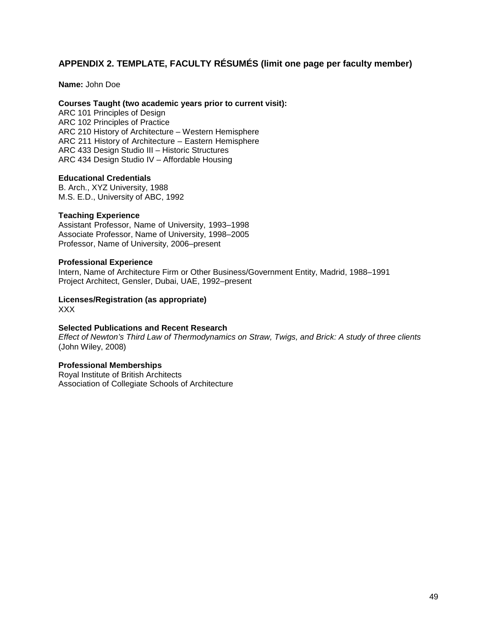# **APPENDIX 2. TEMPLATE, FACULTY RÉSUMÉS (limit one page per faculty member)**

**Name:** John Doe

#### **Courses Taught (two academic years prior to current visit):**

ARC 101 Principles of Design ARC 102 Principles of Practice ARC 210 History of Architecture – Western Hemisphere ARC 211 History of Architecture – Eastern Hemisphere ARC 433 Design Studio III – Historic Structures ARC 434 Design Studio IV – Affordable Housing

#### **Educational Credentials**

B. Arch., XYZ University, 1988 M.S. E.D., University of ABC, 1992

#### **Teaching Experience**

Assistant Professor, Name of University, 1993–1998 Associate Professor, Name of University, 1998–2005 Professor, Name of University, 2006–present

#### **Professional Experience**

Intern, Name of Architecture Firm or Other Business/Government Entity, Madrid, 1988–1991 Project Architect, Gensler, Dubai, UAE, 1992–present

# **Licenses/Registration (as appropriate)**

XXX

#### **Selected Publications and Recent Research**

*Effect of Newton's Third Law of Thermodynamics on Straw, Twigs, and Brick: A study of three clients* (John Wiley, 2008)

#### **Professional Memberships**

Royal Institute of British Architects Association of Collegiate Schools of Architecture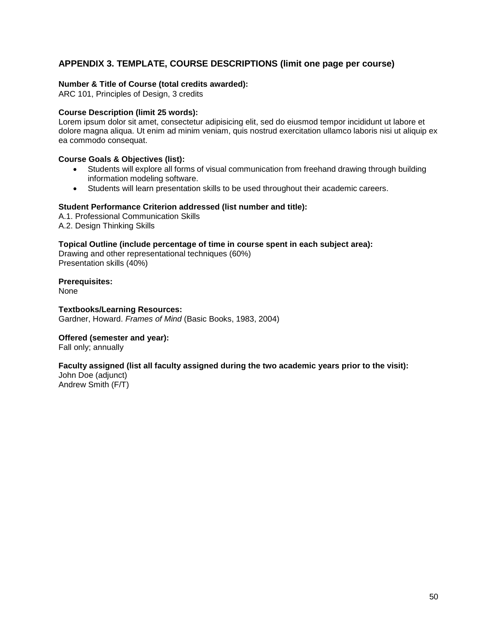# **APPENDIX 3. TEMPLATE, COURSE DESCRIPTIONS (limit one page per course)**

#### **Number & Title of Course (total credits awarded):**

ARC 101, Principles of Design, 3 credits

#### **Course Description (limit 25 words):**

Lorem ipsum dolor sit amet, consectetur adipisicing elit, sed do eiusmod tempor incididunt ut labore et dolore magna aliqua. Ut enim ad minim veniam, quis nostrud exercitation ullamco laboris nisi ut aliquip ex ea commodo consequat.

#### **Course Goals & Objectives (list):**

- Students will explore all forms of visual communication from freehand drawing through building information modeling software.
- Students will learn presentation skills to be used throughout their academic careers.

#### **Student Performance Criterion addressed (list number and title):**

A.1. Professional Communication Skills A.2. Design Thinking Skills

#### **Topical Outline (include percentage of time in course spent in each subject area):**

Drawing and other representational techniques (60%) Presentation skills (40%)

**Prerequisites:** None

**Textbooks/Learning Resources:** Gardner, Howard. *Frames of Mind* (Basic Books, 1983, 2004)

#### **Offered (semester and year):**

Fall only; annually

#### **Faculty assigned (list all faculty assigned during the two academic years prior to the visit):**

John Doe (adjunct) Andrew Smith (F/T)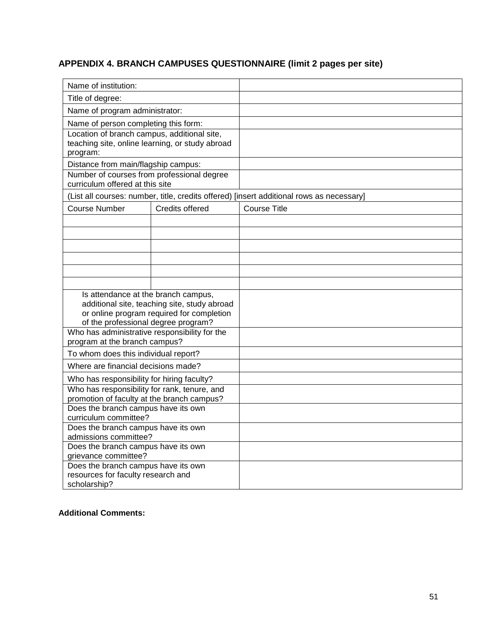# **APPENDIX 4. BRANCH CAMPUSES QUESTIONNAIRE (limit 2 pages per site)**

| Name of institution:                                         |                                                 |                                                                                          |
|--------------------------------------------------------------|-------------------------------------------------|------------------------------------------------------------------------------------------|
| Title of degree:                                             |                                                 |                                                                                          |
| Name of program administrator:                               |                                                 |                                                                                          |
| Name of person completing this form:                         |                                                 |                                                                                          |
| Location of branch campus, additional site,                  |                                                 |                                                                                          |
|                                                              | teaching site, online learning, or study abroad |                                                                                          |
| program:                                                     |                                                 |                                                                                          |
| Distance from main/flagship campus:                          |                                                 |                                                                                          |
| Number of courses from professional degree                   |                                                 |                                                                                          |
| curriculum offered at this site                              |                                                 |                                                                                          |
|                                                              |                                                 | (List all courses: number, title, credits offered) [insert additional rows as necessary] |
| Course Number                                                | Credits offered                                 | Course Title                                                                             |
|                                                              |                                                 |                                                                                          |
|                                                              |                                                 |                                                                                          |
|                                                              |                                                 |                                                                                          |
|                                                              |                                                 |                                                                                          |
|                                                              |                                                 |                                                                                          |
|                                                              |                                                 |                                                                                          |
|                                                              |                                                 |                                                                                          |
| Is attendance at the branch campus,                          |                                                 |                                                                                          |
|                                                              | additional site, teaching site, study abroad    |                                                                                          |
|                                                              | or online program required for completion       |                                                                                          |
| of the professional degree program?                          |                                                 |                                                                                          |
| Who has administrative responsibility for the                |                                                 |                                                                                          |
| program at the branch campus?                                |                                                 |                                                                                          |
| To whom does this individual report?                         |                                                 |                                                                                          |
| Where are financial decisions made?                          |                                                 |                                                                                          |
| Who has responsibility for hiring faculty?                   |                                                 |                                                                                          |
| Who has responsibility for rank, tenure, and                 |                                                 |                                                                                          |
| promotion of faculty at the branch campus?                   |                                                 |                                                                                          |
| Does the branch campus have its own                          |                                                 |                                                                                          |
| curriculum committee?                                        |                                                 |                                                                                          |
| Does the branch campus have its own                          |                                                 |                                                                                          |
| admissions committee?<br>Does the branch campus have its own |                                                 |                                                                                          |
| grievance committee?                                         |                                                 |                                                                                          |
| Does the branch campus have its own                          |                                                 |                                                                                          |
| resources for faculty research and                           |                                                 |                                                                                          |
| scholarship?                                                 |                                                 |                                                                                          |

#### **Additional Comments:**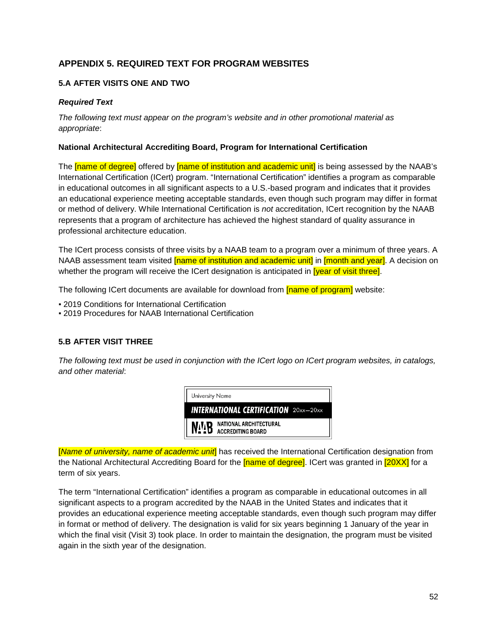# <span id="page-55-0"></span>**APPENDIX 5. REQUIRED TEXT FOR PROGRAM WEBSITES**

## <span id="page-55-1"></span>**5.A AFTER VISITS ONE AND TWO**

#### *Required Text*

*The following text must appear on the program's website and in other promotional material as appropriate*:

#### **National Architectural Accrediting Board, Program for International Certification**

The **[name of degree]** offered by **[name of institution and academic unit]** is being assessed by the NAAB's International Certification (ICert) program. "International Certification" identifies a program as comparable in educational outcomes in all significant aspects to a U.S.-based program and indicates that it provides an educational experience meeting acceptable standards, even though such program may differ in format or method of delivery. While International Certification is *not* accreditation, ICert recognition by the NAAB represents that a program of architecture has achieved the highest standard of quality assurance in professional architecture education.

The ICert process consists of three visits by a NAAB team to a program over a minimum of three years. A NAAB assessment team visited **[name of institution and academic unit]** in **[month and year]**. A decision on whether the program will receive the ICert designation is anticipated in **[year of visit three]**.

The following ICert documents are available for download from [name of program] website:

- 2019 Conditions for International Certification
- 2019 Procedures for NAAB International Certification

#### <span id="page-55-2"></span>**5.B AFTER VISIT THREE**

*The following text must be used in conjunction with the ICert logo on ICert program websites, in catalogs, and other material*:



[*Name of university, name of academic unit*] has received the International Certification designation from the National Architectural Accrediting Board for the **[name of degree]**. ICert was granted in **[20XX]** for a term of six years.

The term "International Certification" identifies a program as comparable in educational outcomes in all significant aspects to a program accredited by the NAAB in the United States and indicates that it provides an educational experience meeting acceptable standards, even though such program may differ in format or method of delivery. The designation is valid for six years beginning 1 January of the year in which the final visit (Visit 3) took place. In order to maintain the designation, the program must be visited again in the sixth year of the designation.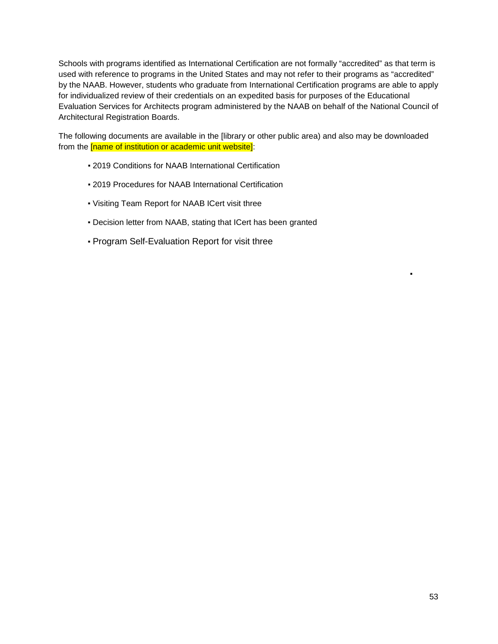Schools with programs identified as International Certification are not formally "accredited" as that term is used with reference to programs in the United States and may not refer to their programs as "accredited" by the NAAB. However, students who graduate from International Certification programs are able to apply for individualized review of their credentials on an expedited basis for purposes of the Educational Evaluation Services for Architects program administered by the NAAB on behalf of the National Council of Architectural Registration Boards.

The following documents are available in the [library or other public area) and also may be downloaded from the [name of institution or academic unit website]:

- 2019 Conditions for NAAB International Certification
- 2019 Procedures for NAAB International Certification
- Visiting Team Report for NAAB ICert visit three
- Decision letter from NAAB, stating that ICert has been granted
- Program Self-Evaluation Report for visit three

▪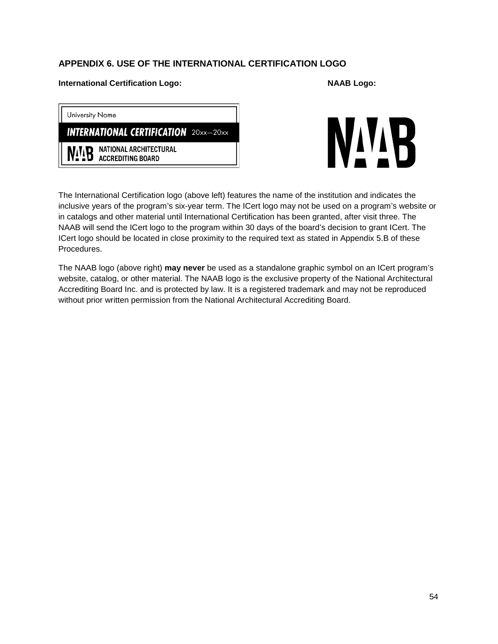# **APPENDIX 6. USE OF THE INTERNATIONAL CERTIFICATION LOGO**

#### **International Certification Logo: NAAB Logo:**

| <b>University Name</b> |                                                            |  |
|------------------------|------------------------------------------------------------|--|
|                        | <b>INTERNATIONAL CERTIFICATION</b> 20xx-20xx               |  |
|                        | NATIONAL ARCHITECTURAL<br><b>NATES NATIONAL ARCHITECTS</b> |  |



The International Certification logo (above left) features the name of the institution and indicates the inclusive years of the program's six-year term. The ICert logo may not be used on a program's website or in catalogs and other material until International Certification has been granted, after visit three. The NAAB will send the ICert logo to the program within 30 days of the board's decision to grant ICert. The ICert logo should be located in close proximity to the required text as stated in Appendix 5.B of these Procedures.

The NAAB logo (above right) **may never** be used as a standalone graphic symbol on an ICert program's website, catalog, or other material. The NAAB logo is the exclusive property of the National Architectural Accrediting Board Inc. and is protected by law. It is a registered trademark and may not be reproduced without prior written permission from the National Architectural Accrediting Board.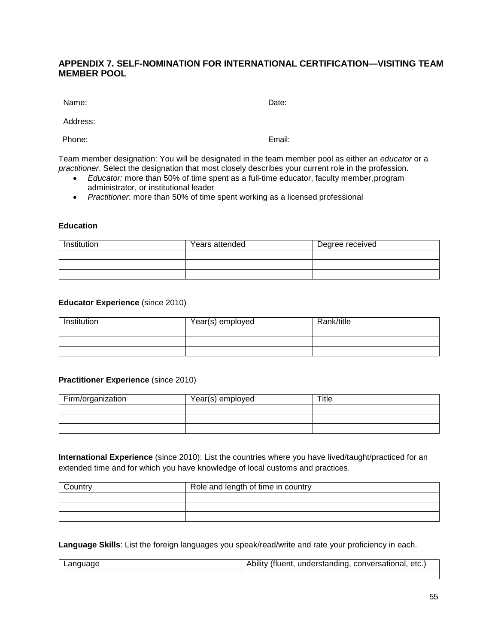# **APPENDIX 7. SELF-NOMINATION FOR INTERNATIONAL CERTIFICATION—VISITING TEAM MEMBER POOL**

Name: **Name:**  $\blacksquare$ 

Address:

Phone: Email:

Team member designation: You will be designated in the team member pool as either an *educator* or a *practitioner*. Select the designation that most closely describes your current role in the profession.

- *Educator:* more than 50% of time spent as a full-time educator, faculty member,program administrator, or institutional leader
- *Practitioner*: more than 50% of time spent working as a licensed professional

#### **Education**

| Institution | Years attended | Degree received |
|-------------|----------------|-----------------|
|             |                |                 |
|             |                |                 |
|             |                |                 |

#### **Educator Experience** (since 2010)

| Institution | Year(s) employed | Rank/title |
|-------------|------------------|------------|
|             |                  |            |
|             |                  |            |
|             |                  |            |

#### **Practitioner Experience** (since 2010)

| Firm/organization | Year(s) employed | ™itle |
|-------------------|------------------|-------|
|                   |                  |       |
|                   |                  |       |
|                   |                  |       |

**International Experience** (since 2010): List the countries where you have lived/taught/practiced for an extended time and for which you have knowledge of local customs and practices.

| רחוו∩.⊂ | Role and length of time in country |
|---------|------------------------------------|
|         |                                    |
|         |                                    |
|         |                                    |

**Language Skills**: List the foreign languages you speak/read/write and rate your proficiency in each.

| Language | Ability (fluent.<br>understanding, conversational, etc.) |
|----------|----------------------------------------------------------|
|          |                                                          |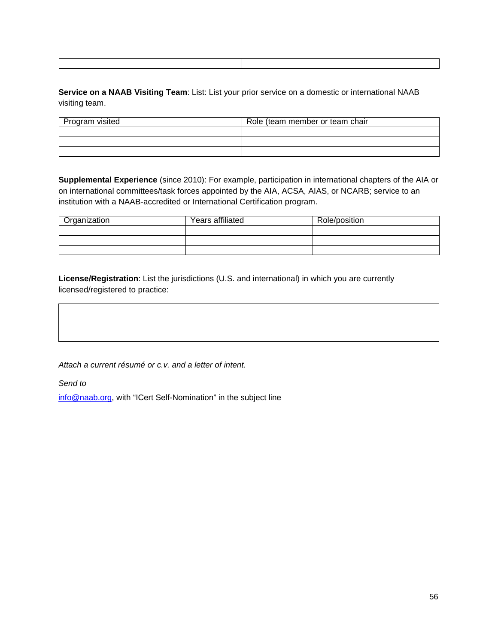**Service on a NAAB Visiting Team**: List: List your prior service on a domestic or international NAAB visiting team.

| Program visited | Role (team member or team chair |
|-----------------|---------------------------------|
|                 |                                 |
|                 |                                 |
|                 |                                 |

**Supplemental Experience** (since 2010): For example, participation in international chapters of the AIA or on international committees/task forces appointed by the AIA, ACSA, AIAS, or NCARB; service to an institution with a NAAB-accredited or International Certification program.

| Organization | Years affiliated | Role/position |
|--------------|------------------|---------------|
|              |                  |               |
|              |                  |               |
|              |                  |               |

**License/Registration**: List the jurisdictions (U.S. and international) in which you are currently licensed/registered to practice:

*Attach a current résumé or c.v. and a letter of intent.*

*Send to*

[info@naab.org, w](mailto:info@naab.org)ith "ICert Self-Nomination" in the subject line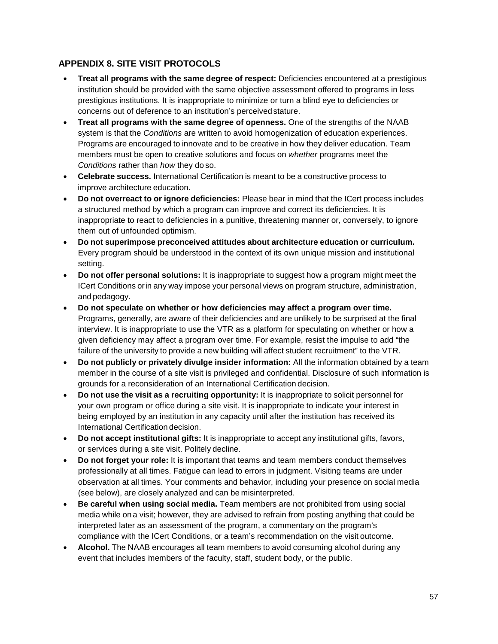# <span id="page-60-0"></span>**APPENDIX 8. SITE VISIT PROTOCOLS**

- **Treat all programs with the same degree of respect:** Deficiencies encountered at a prestigious institution should be provided with the same objective assessment offered to programs in less prestigious institutions. It is inappropriate to minimize or turn a blind eye to deficiencies or concerns out of deference to an institution's perceivedstature.
- **Treat all programs with the same degree of openness.** One of the strengths of the NAAB system is that the *Conditions* are written to avoid homogenization of education experiences. Programs are encouraged to innovate and to be creative in how they deliver education. Team members must be open to creative solutions and focus on *whether* programs meet the *Conditions* rather than *how* they do so.
- **Celebrate success.** International Certification is meant to be a constructive process to improve architecture education.
- **Do not overreact to or ignore deficiencies:** Please bear in mind that the ICert process includes a structured method by which a program can improve and correct its deficiencies. It is inappropriate to react to deficiencies in a punitive, threatening manner or, conversely, to ignore them out of unfounded optimism.
- **Do not superimpose preconceived attitudes about architecture education or curriculum.**  Every program should be understood in the context of its own unique mission and institutional setting.
- **Do not offer personal solutions:** It is inappropriate to suggest how a program might meet the ICert Conditions orin any way impose your personal views on program structure, administration, and pedagogy.
- **Do not speculate on whether or how deficiencies may affect a program over time.**  Programs, generally, are aware of their deficiencies and are unlikely to be surprised at the final interview. It is inappropriate to use the VTR as a platform for speculating on whether or how a given deficiency may affect a program over time. For example, resist the impulse to add "the failure of the university to provide a new building will affect student recruitment" to the VTR.
- **Do not publicly or privately divulge insider information:** All the information obtained by a team member in the course of a site visit is privileged and confidential. Disclosure of such information is grounds for a reconsideration of an International Certification decision.
- **Do not use the visit as a recruiting opportunity:** It is inappropriate to solicit personnel for your own program or office during a site visit. It is inappropriate to indicate your interest in being employed by an institution in any capacity until after the institution has received its International Certification decision.
- **Do not accept institutional gifts:** It is inappropriate to accept any institutional gifts, favors, or services during a site visit. Politely decline.
- **Do not forget your role:** It is important that teams and team members conduct themselves professionally at all times. Fatigue can lead to errors in judgment. Visiting teams are under observation at all times. Your comments and behavior, including your presence on social media (see below), are closely analyzed and can be misinterpreted.
- **Be careful when using social media.** Team members are not prohibited from using social media while on a visit; however, they are advised to refrain from posting anything that could be interpreted later as an assessment of the program, a commentary on the program's compliance with the ICert Conditions, or a team's recommendation on the visit outcome.
- **Alcohol.** The NAAB encourages all team members to avoid consuming alcohol during any event that includes imembers of the faculty, staff, student body, or the public.